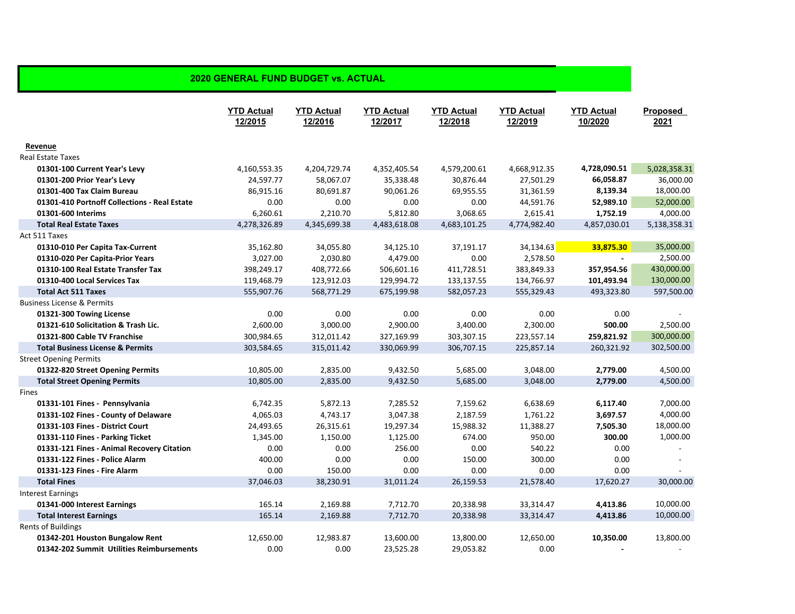|                                              | <b>YTD Actual</b><br>12/2015 | <b>YTD Actual</b><br>12/2016 | <b>YTD Actual</b><br>12/2017 | <b>YTD Actual</b><br>12/2018 | <b>YTD Actual</b><br>12/2019 | <b>YTD Actual</b><br>10/2020 | <b>Proposed</b><br>2021 |
|----------------------------------------------|------------------------------|------------------------------|------------------------------|------------------------------|------------------------------|------------------------------|-------------------------|
| Revenue                                      |                              |                              |                              |                              |                              |                              |                         |
| <b>Real Estate Taxes</b>                     |                              |                              |                              |                              |                              |                              |                         |
| 01301-100 Current Year's Levy                | 4,160,553.35                 | 4,204,729.74                 | 4,352,405.54                 | 4,579,200.61                 | 4,668,912.35                 | 4,728,090.51                 | 5,028,358.31            |
| 01301-200 Prior Year's Levy                  | 24,597.77                    | 58,067.07                    | 35,338.48                    | 30,876.44                    | 27,501.29                    | 66,058.87                    | 36,000.00               |
| 01301-400 Tax Claim Bureau                   | 86,915.16                    | 80,691.87                    | 90,061.26                    | 69,955.55                    | 31,361.59                    | 8,139.34                     | 18,000.00               |
| 01301-410 Portnoff Collections - Real Estate | 0.00                         | 0.00                         | 0.00                         | 0.00                         | 44,591.76                    | 52,989.10                    | 52,000.00               |
| 01301-600 Interims                           | 6,260.61                     | 2,210.70                     | 5,812.80                     | 3,068.65                     | 2,615.41                     | 1,752.19                     | 4,000.00                |
| <b>Total Real Estate Taxes</b>               | 4,278,326.89                 | 4,345,699.38                 | 4,483,618.08                 | 4,683,101.25                 | 4,774,982.40                 | 4,857,030.01                 | 5,138,358.31            |
| Act 511 Taxes                                |                              |                              |                              |                              |                              |                              |                         |
| 01310-010 Per Capita Tax-Current             | 35,162.80                    | 34,055.80                    | 34,125.10                    | 37,191.17                    | 34,134.63                    | 33,875.30                    | 35,000.00               |
| 01310-020 Per Capita-Prior Years             | 3,027.00                     | 2,030.80                     | 4,479.00                     | 0.00                         | 2,578.50                     | $\overline{\phantom{a}}$     | 2,500.00                |
| 01310-100 Real Estate Transfer Tax           | 398,249.17                   | 408,772.66                   | 506,601.16                   | 411,728.51                   | 383,849.33                   | 357,954.56                   | 430,000.00              |
| 01310-400 Local Services Tax                 | 119,468.79                   | 123,912.03                   | 129,994.72                   | 133,137.55                   | 134,766.97                   | 101,493.94                   | 130,000.00              |
| <b>Total Act 511 Taxes</b>                   | 555,907.76                   | 568,771.29                   | 675,199.98                   | 582,057.23                   | 555,329.43                   | 493,323.80                   | 597,500.00              |
| <b>Business License &amp; Permits</b>        |                              |                              |                              |                              |                              |                              |                         |
| 01321-300 Towing License                     | 0.00                         | 0.00                         | 0.00                         | 0.00                         | 0.00                         | 0.00                         |                         |
| 01321-610 Solicitation & Trash Lic.          | 2,600.00                     | 3,000.00                     | 2,900.00                     | 3,400.00                     | 2,300.00                     | 500.00                       | 2,500.00                |
| 01321-800 Cable TV Franchise                 | 300,984.65                   | 312,011.42                   | 327,169.99                   | 303,307.15                   | 223,557.14                   | 259,821.92                   | 300,000.00              |
| <b>Total Business License &amp; Permits</b>  | 303,584.65                   | 315,011.42                   | 330,069.99                   | 306,707.15                   | 225,857.14                   | 260,321.92                   | 302,500.00              |
| <b>Street Opening Permits</b>                |                              |                              |                              |                              |                              |                              |                         |
| 01322-820 Street Opening Permits             | 10,805.00                    | 2,835.00                     | 9,432.50                     | 5,685.00                     | 3,048.00                     | 2,779.00                     | 4,500.00                |
| <b>Total Street Opening Permits</b>          | 10,805.00                    | 2,835.00                     | 9,432.50                     | 5,685.00                     | 3,048.00                     | 2,779.00                     | 4,500.00                |
| Fines                                        |                              |                              |                              |                              |                              |                              |                         |
| 01331-101 Fines - Pennsylvania               | 6,742.35                     | 5,872.13                     | 7,285.52                     | 7,159.62                     | 6,638.69                     | 6,117.40                     | 7,000.00                |
| 01331-102 Fines - County of Delaware         | 4,065.03                     | 4,743.17                     | 3,047.38                     | 2,187.59                     | 1,761.22                     | 3,697.57                     | 4,000.00                |
| 01331-103 Fines - District Court             | 24,493.65                    | 26,315.61                    | 19,297.34                    | 15,988.32                    | 11,388.27                    | 7,505.30                     | 18,000.00               |
| 01331-110 Fines - Parking Ticket             | 1,345.00                     | 1,150.00                     | 1,125.00                     | 674.00                       | 950.00                       | 300.00                       | 1,000.00                |
| 01331-121 Fines - Animal Recovery Citation   | 0.00                         | 0.00                         | 256.00                       | 0.00                         | 540.22                       | 0.00                         |                         |
| 01331-122 Fines - Police Alarm               | 400.00                       | 0.00                         | 0.00                         | 150.00                       | 300.00                       | 0.00                         |                         |
| 01331-123 Fines - Fire Alarm                 | 0.00                         | 150.00                       | 0.00                         | 0.00                         | 0.00                         | 0.00                         |                         |
| <b>Total Fines</b>                           | 37,046.03                    | 38,230.91                    | 31,011.24                    | 26,159.53                    | 21,578.40                    | 17,620.27                    | 30,000.00               |
| <b>Interest Earnings</b>                     |                              |                              |                              |                              |                              |                              |                         |
| 01341-000 Interest Earnings                  | 165.14                       | 2,169.88                     | 7,712.70                     | 20,338.98                    | 33,314.47                    | 4,413.86                     | 10,000.00               |
| <b>Total Interest Earnings</b>               | 165.14                       | 2,169.88                     | 7,712.70                     | 20,338.98                    | 33,314.47                    | 4,413.86                     | 10,000.00               |
| <b>Rents of Buildings</b>                    |                              |                              |                              |                              |                              |                              |                         |
| 01342-201 Houston Bungalow Rent              | 12,650.00                    | 12,983.87                    | 13,600.00                    | 13,800.00                    | 12,650.00                    | 10,350.00                    | 13,800.00               |
| 01342-202 Summit Utilities Reimbursements    | 0.00                         | 0.00                         | 23,525.28                    | 29,053.82                    | 0.00                         |                              |                         |

## **2020 GENERAL FUND BUDGET vs. ACTUAL**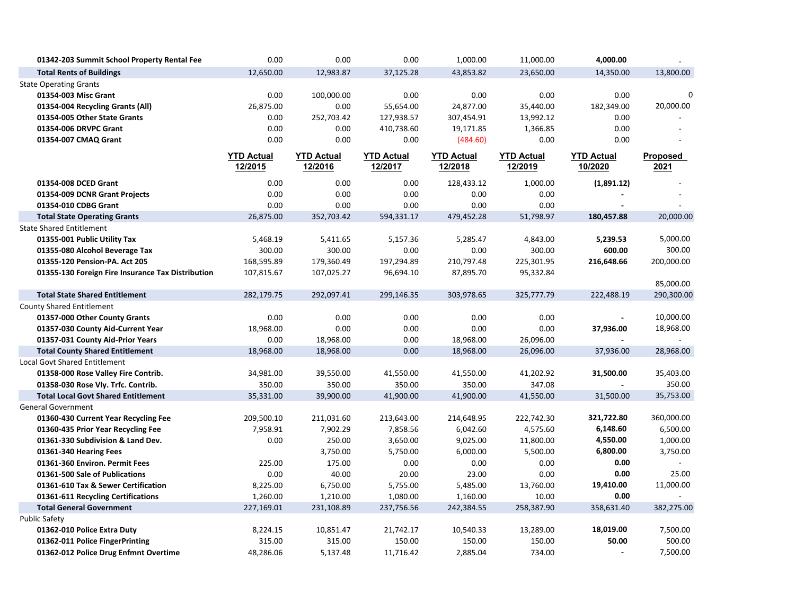| 01342-203 Summit School Property Rental Fee       | 0.00              | 0.00              | 0.00              | 1,000.00          | 11,000.00         | 4,000.00          |                |
|---------------------------------------------------|-------------------|-------------------|-------------------|-------------------|-------------------|-------------------|----------------|
| <b>Total Rents of Buildings</b>                   | 12,650.00         | 12,983.87         | 37,125.28         | 43,853.82         | 23,650.00         | 14,350.00         | 13,800.00      |
| <b>State Operating Grants</b>                     |                   |                   |                   |                   |                   |                   |                |
| 01354-003 Misc Grant                              | 0.00              | 100,000.00        | 0.00              | 0.00              | 0.00              | 0.00              | 0              |
| 01354-004 Recycling Grants (All)                  | 26,875.00         | 0.00              | 55,654.00         | 24,877.00         | 35,440.00         | 182,349.00        | 20,000.00      |
| 01354-005 Other State Grants                      | 0.00              | 252,703.42        | 127,938.57        | 307,454.91        | 13,992.12         | 0.00              |                |
| 01354-006 DRVPC Grant                             | 0.00              | 0.00              | 410,738.60        | 19,171.85         | 1,366.85          | 0.00              |                |
| 01354-007 CMAQ Grant                              | 0.00              | 0.00              | 0.00              | (484.60)          | 0.00              | 0.00              |                |
|                                                   | <b>YTD Actual</b> | <b>YTD Actual</b> | <b>YTD Actual</b> | <b>YTD Actual</b> | <b>YTD Actual</b> | <b>YTD Actual</b> | Proposed       |
|                                                   | 12/2015           | 12/2016           | 12/2017           | 12/2018           | 12/2019           | 10/2020           | 2021           |
| 01354-008 DCED Grant                              | 0.00              | 0.00              | 0.00              | 128,433.12        | 1,000.00          | (1,891.12)        |                |
| 01354-009 DCNR Grant Projects                     | 0.00              | 0.00              | 0.00              | 0.00              | 0.00              |                   |                |
| 01354-010 CDBG Grant                              | 0.00              | 0.00              | 0.00              | 0.00              | 0.00              | $\overline{a}$    |                |
| <b>Total State Operating Grants</b>               | 26,875.00         | 352,703.42        | 594,331.17        | 479,452.28        | 51,798.97         | 180,457.88        | 20,000.00      |
| <b>State Shared Entitlement</b>                   |                   |                   |                   |                   |                   |                   |                |
| 01355-001 Public Utility Tax                      | 5,468.19          | 5,411.65          | 5,157.36          | 5,285.47          | 4,843.00          | 5,239.53          | 5,000.00       |
| 01355-080 Alcohol Beverage Tax                    | 300.00            | 300.00            | 0.00              | 0.00              | 300.00            | 600.00            | 300.00         |
| 01355-120 Pension-PA. Act 205                     | 168,595.89        | 179,360.49        | 197,294.89        | 210,797.48        | 225,301.95        | 216,648.66        | 200,000.00     |
| 01355-130 Foreign Fire Insurance Tax Distribution | 107,815.67        | 107,025.27        | 96,694.10         | 87,895.70         | 95,332.84         |                   |                |
|                                                   |                   |                   |                   |                   |                   |                   | 85,000.00      |
| <b>Total State Shared Entitlement</b>             | 282,179.75        | 292,097.41        | 299,146.35        | 303,978.65        | 325,777.79        | 222,488.19        | 290,300.00     |
| <b>County Shared Entitlement</b>                  |                   |                   |                   |                   |                   |                   |                |
| 01357-000 Other County Grants                     | 0.00              | 0.00              | 0.00              | 0.00              | 0.00              |                   | 10,000.00      |
| 01357-030 County Aid-Current Year                 | 18,968.00         | 0.00              | 0.00              | 0.00              | 0.00              | 37,936.00         | 18,968.00      |
| 01357-031 County Aid-Prior Years                  | 0.00              | 18,968.00         | 0.00              | 18,968.00         | 26,096.00         | $\sim$            | $\mathbf{r}$   |
| <b>Total County Shared Entitlement</b>            | 18,968.00         | 18,968.00         | 0.00              | 18,968.00         | 26,096.00         | 37,936.00         | 28,968.00      |
| <b>Local Govt Shared Entitlement</b>              |                   |                   |                   |                   |                   |                   |                |
| 01358-000 Rose Valley Fire Contrib.               | 34,981.00         | 39,550.00         | 41,550.00         | 41,550.00         | 41,202.92         | 31,500.00         | 35,403.00      |
| 01358-030 Rose Vly. Trfc. Contrib.                | 350.00            | 350.00            | 350.00            | 350.00            | 347.08            |                   | 350.00         |
| <b>Total Local Govt Shared Entitlement</b>        | 35,331.00         | 39,900.00         | 41,900.00         | 41,900.00         | 41,550.00         | 31,500.00         | 35,753.00      |
| <b>General Government</b>                         |                   |                   |                   |                   |                   |                   |                |
| 01360-430 Current Year Recycling Fee              | 209,500.10        | 211,031.60        | 213,643.00        | 214,648.95        | 222,742.30        | 321,722.80        | 360,000.00     |
| 01360-435 Prior Year Recycling Fee                | 7,958.91          | 7,902.29          | 7,858.56          | 6,042.60          | 4,575.60          | 6,148.60          | 6,500.00       |
| 01361-330 Subdivision & Land Dev.                 | 0.00              | 250.00            | 3,650.00          | 9,025.00          | 11,800.00         | 4,550.00          | 1,000.00       |
| 01361-340 Hearing Fees                            |                   | 3,750.00          | 5,750.00          | 6,000.00          | 5,500.00          | 6,800.00          | 3,750.00       |
| 01361-360 Environ. Permit Fees                    | 225.00            | 175.00            | 0.00              | 0.00              | 0.00              | 0.00              | $\overline{a}$ |
| 01361-500 Sale of Publications                    | 0.00              | 40.00             | 20.00             | 23.00             | 0.00              | 0.00              | 25.00          |
| 01361-610 Tax & Sewer Certification               | 8,225.00          | 6,750.00          | 5,755.00          | 5,485.00          | 13,760.00         | 19,410.00         | 11,000.00      |
| 01361-611 Recycling Certifications                | 1,260.00          | 1,210.00          | 1,080.00          | 1,160.00          | 10.00             | 0.00              |                |
| <b>Total General Government</b>                   | 227,169.01        | 231,108.89        | 237,756.56        | 242,384.55        | 258,387.90        | 358,631.40        | 382,275.00     |
| <b>Public Safety</b>                              |                   |                   |                   |                   |                   |                   |                |
| 01362-010 Police Extra Duty                       | 8,224.15          | 10,851.47         | 21,742.17         | 10,540.33         | 13,289.00         | 18,019.00         | 7,500.00       |
| 01362-011 Police FingerPrinting                   | 315.00            | 315.00            | 150.00            | 150.00            | 150.00            | 50.00             | 500.00         |
| 01362-012 Police Drug Enfmnt Overtime             | 48,286.06         | 5,137.48          | 11,716.42         | 2,885.04          | 734.00            | $\sim$            | 7,500.00       |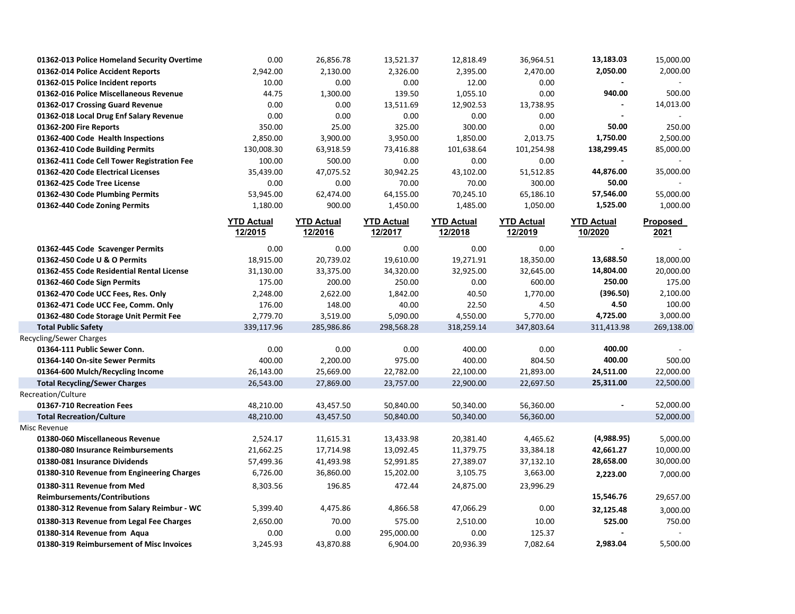| 01362-013 Police Homeland Security Overtime | 0.00                         | 26,856.78                    | 13,521.37                    | 12,818.49                    | 36,964.51                    | 13,183.03                    | 15,000.00        |
|---------------------------------------------|------------------------------|------------------------------|------------------------------|------------------------------|------------------------------|------------------------------|------------------|
| 01362-014 Police Accident Reports           | 2,942.00                     | 2,130.00                     | 2,326.00                     | 2,395.00                     | 2,470.00                     | 2,050.00                     | 2,000.00         |
| 01362-015 Police Incident reports           | 10.00                        | 0.00                         | 0.00                         | 12.00                        | 0.00                         |                              |                  |
| 01362-016 Police Miscellaneous Revenue      | 44.75                        | 1,300.00                     | 139.50                       | 1,055.10                     | 0.00                         | 940.00                       | 500.00           |
| 01362-017 Crossing Guard Revenue            | 0.00                         | 0.00                         | 13,511.69                    | 12,902.53                    | 13,738.95                    |                              | 14,013.00        |
| 01362-018 Local Drug Enf Salary Revenue     | 0.00                         | 0.00                         | 0.00                         | 0.00                         | 0.00                         |                              |                  |
| 01362-200 Fire Reports                      | 350.00                       | 25.00                        | 325.00                       | 300.00                       | 0.00                         | 50.00                        | 250.00           |
| 01362-400 Code Health Inspections           | 2,850.00                     | 3,900.00                     | 3,950.00                     | 1,850.00                     | 2,013.75                     | 1,750.00                     | 2,500.00         |
| 01362-410 Code Building Permits             | 130,008.30                   | 63,918.59                    | 73,416.88                    | 101,638.64                   | 101,254.98                   | 138,299.45                   | 85,000.00        |
| 01362-411 Code Cell Tower Registration Fee  | 100.00                       | 500.00                       | 0.00                         | 0.00                         | 0.00                         |                              |                  |
| 01362-420 Code Electrical Licenses          | 35,439.00                    | 47,075.52                    | 30,942.25                    | 43,102.00                    | 51,512.85                    | 44,876.00                    | 35,000.00        |
| 01362-425 Code Tree License                 | 0.00                         | 0.00                         | 70.00                        | 70.00                        | 300.00                       | 50.00                        |                  |
| 01362-430 Code Plumbing Permits             | 53,945.00                    | 62,474.00                    | 64,155.00                    | 70,245.10                    | 65,186.10                    | 57,546.00                    | 55,000.00        |
| 01362-440 Code Zoning Permits               | 1,180.00                     | 900.00                       | 1,450.00                     | 1,485.00                     | 1,050.00                     | 1,525.00                     | 1,000.00         |
|                                             | <b>YTD Actual</b><br>12/2015 | <b>YTD Actual</b><br>12/2016 | <b>YTD Actual</b><br>12/2017 | <b>YTD Actual</b><br>12/2018 | <b>YTD Actual</b><br>12/2019 | <b>YTD Actual</b><br>10/2020 | Proposed<br>2021 |
| 01362-445 Code Scavenger Permits            | 0.00                         | 0.00                         | 0.00                         | 0.00                         | 0.00                         |                              |                  |
| 01362-450 Code U & O Permits                | 18,915.00                    | 20,739.02                    | 19,610.00                    | 19,271.91                    | 18,350.00                    | 13,688.50                    | 18,000.00        |
| 01362-455 Code Residential Rental License   | 31,130.00                    | 33,375.00                    | 34,320.00                    | 32,925.00                    | 32,645.00                    | 14,804.00                    | 20,000.00        |
| 01362-460 Code Sign Permits                 | 175.00                       | 200.00                       | 250.00                       | 0.00                         | 600.00                       | 250.00                       | 175.00           |
| 01362-470 Code UCC Fees, Res. Only          | 2,248.00                     | 2,622.00                     | 1,842.00                     | 40.50                        | 1,770.00                     | (396.50)                     | 2,100.00         |
| 01362-471 Code UCC Fee, Comm. Only          | 176.00                       | 148.00                       | 40.00                        | 22.50                        | 4.50                         | 4.50                         | 100.00           |
| 01362-480 Code Storage Unit Permit Fee      | 2,779.70                     | 3,519.00                     | 5,090.00                     | 4,550.00                     | 5,770.00                     | 4,725.00                     | 3,000.00         |
| <b>Total Public Safety</b>                  | 339,117.96                   | 285,986.86                   | 298,568.28                   | 318,259.14                   | 347,803.64                   | 311,413.98                   | 269,138.00       |
| Recycling/Sewer Charges                     |                              |                              |                              |                              |                              |                              |                  |
| 01364-111 Public Sewer Conn.                | 0.00                         | 0.00                         | 0.00                         | 400.00                       | 0.00                         | 400.00                       |                  |
| 01364-140 On-site Sewer Permits             | 400.00                       | 2,200.00                     | 975.00                       | 400.00                       | 804.50                       | 400.00                       | 500.00           |
| 01364-600 Mulch/Recycling Income            | 26,143.00                    | 25,669.00                    | 22,782.00                    | 22,100.00                    | 21,893.00                    | 24,511.00                    | 22,000.00        |
| <b>Total Recycling/Sewer Charges</b>        | 26,543.00                    | 27,869.00                    | 23,757.00                    | 22,900.00                    | 22,697.50                    | 25,311.00                    | 22,500.00        |
| Recreation/Culture                          |                              |                              |                              |                              |                              |                              |                  |
| 01367-710 Recreation Fees                   | 48,210.00                    | 43,457.50                    | 50,840.00                    | 50,340.00                    | 56,360.00                    |                              | 52,000.00        |
| <b>Total Recreation/Culture</b>             | 48,210.00                    | 43,457.50                    | 50,840.00                    | 50,340.00                    | 56,360.00                    |                              | 52,000.00        |
| Misc Revenue                                |                              |                              |                              |                              |                              |                              |                  |
| 01380-060 Miscellaneous Revenue             | 2,524.17                     | 11,615.31                    | 13,433.98                    | 20,381.40                    | 4,465.62                     | (4,988.95)                   | 5,000.00         |
| 01380-080 Insurance Reimbursements          | 21,662.25                    | 17,714.98                    | 13,092.45                    | 11,379.75                    | 33,384.18                    | 42,661.27                    | 10,000.00        |
| 01380-081 Insurance Dividends               | 57,499.36                    | 41,493.98                    | 52,991.85                    | 27,389.07                    | 37,132.10                    | 28,658.00                    | 30,000.00        |
| 01380-310 Revenue from Engineering Charges  | 6,726.00                     | 36,860.00                    | 15,202.00                    | 3,105.75                     | 3,663.00                     | 2,223.00                     | 7,000.00         |
| 01380-311 Revenue from Med                  | 8,303.56                     | 196.85                       | 472.44                       | 24,875.00                    | 23,996.29                    |                              |                  |
| <b>Reimbursements/Contributions</b>         |                              |                              |                              |                              |                              | 15,546.76                    | 29,657.00        |
| 01380-312 Revenue from Salary Reimbur - WC  | 5,399.40                     | 4,475.86                     | 4,866.58                     | 47,066.29                    | 0.00                         | 32,125.48                    | 3,000.00         |
| 01380-313 Revenue from Legal Fee Charges    | 2,650.00                     | 70.00                        | 575.00                       | 2,510.00                     | 10.00                        | 525.00                       | 750.00           |
| 01380-314 Revenue from Aqua                 | 0.00                         | 0.00                         | 295,000.00                   | 0.00                         | 125.37                       |                              |                  |
| 01380-319 Reimbursement of Misc Invoices    | 3,245.93                     | 43,870.88                    | 6,904.00                     | 20,936.39                    | 7,082.64                     | 2,983.04                     | 5,500.00         |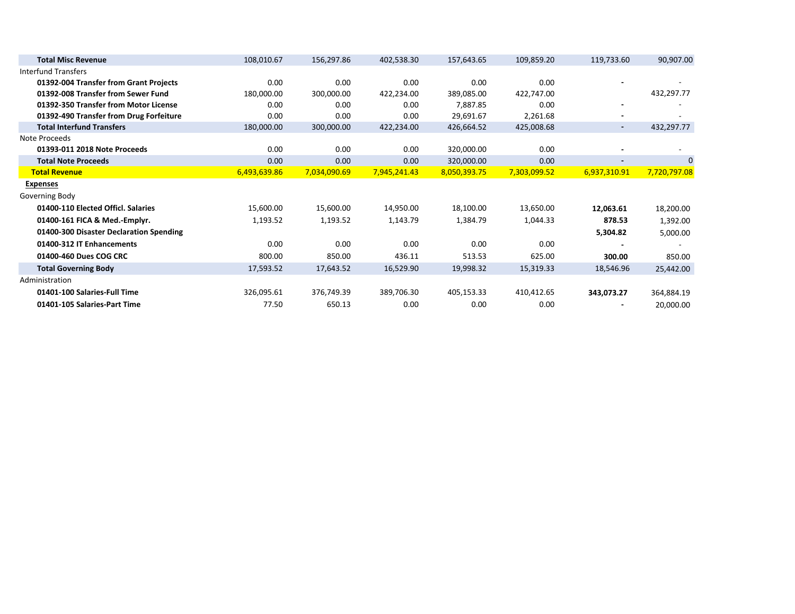| <b>Total Misc Revenue</b>               | 108,010.67   | 156,297.86   | 402,538.30   | 157,643.65   | 109,859.20   | 119,733.60               | 90,907.00                |
|-----------------------------------------|--------------|--------------|--------------|--------------|--------------|--------------------------|--------------------------|
| <b>Interfund Transfers</b>              |              |              |              |              |              |                          |                          |
| 01392-004 Transfer from Grant Projects  | 0.00         | 0.00         | 0.00         | 0.00         | 0.00         |                          |                          |
| 01392-008 Transfer from Sewer Fund      | 180,000.00   | 300,000.00   | 422,234.00   | 389,085.00   | 422,747.00   |                          | 432,297.77               |
| 01392-350 Transfer from Motor License   | 0.00         | 0.00         | 0.00         | 7,887.85     | 0.00         | $\overline{\phantom{a}}$ |                          |
| 01392-490 Transfer from Drug Forfeiture | 0.00         | 0.00         | 0.00         | 29,691.67    | 2,261.68     |                          |                          |
| <b>Total Interfund Transfers</b>        | 180,000.00   | 300,000.00   | 422,234.00   | 426,664.52   | 425,008.68   | $\sim$                   | 432,297.77               |
| Note Proceeds                           |              |              |              |              |              |                          |                          |
| 01393-011 2018 Note Proceeds            | 0.00         | 0.00         | 0.00         | 320,000.00   | 0.00         |                          |                          |
| <b>Total Note Proceeds</b>              | 0.00         | 0.00         | 0.00         | 320,000.00   | 0.00         | $\blacksquare$           | $\mathbf{0}$             |
| <b>Total Revenue</b>                    | 6,493,639.86 | 7,034,090.69 | 7,945,241.43 | 8,050,393.75 | 7,303,099.52 | 6,937,310.91             | 7,720,797.08             |
| <b>Expenses</b>                         |              |              |              |              |              |                          |                          |
| Governing Body                          |              |              |              |              |              |                          |                          |
| 01400-110 Elected Officl. Salaries      | 15,600.00    | 15,600.00    | 14,950.00    | 18,100.00    | 13,650.00    | 12,063.61                | 18,200.00                |
| 01400-161 FICA & Med.-Emplyr.           | 1,193.52     | 1,193.52     | 1,143.79     | 1,384.79     | 1,044.33     | 878.53                   | 1,392.00                 |
| 01400-300 Disaster Declaration Spending |              |              |              |              |              | 5,304.82                 | 5,000.00                 |
| 01400-312 IT Enhancements               | 0.00         | 0.00         | 0.00         | 0.00         | 0.00         |                          | $\overline{\phantom{a}}$ |
| 01400-460 Dues COG CRC                  | 800.00       | 850.00       | 436.11       | 513.53       | 625.00       | 300.00                   | 850.00                   |
| <b>Total Governing Body</b>             | 17,593.52    | 17,643.52    | 16,529.90    | 19,998.32    | 15,319.33    | 18,546.96                | 25,442.00                |
| Administration                          |              |              |              |              |              |                          |                          |
| 01401-100 Salaries-Full Time            | 326,095.61   | 376,749.39   | 389,706.30   | 405,153.33   | 410,412.65   | 343,073.27               | 364,884.19               |
| 01401-105 Salaries-Part Time            | 77.50        | 650.13       | 0.00         | 0.00         | 0.00         |                          | 20,000.00                |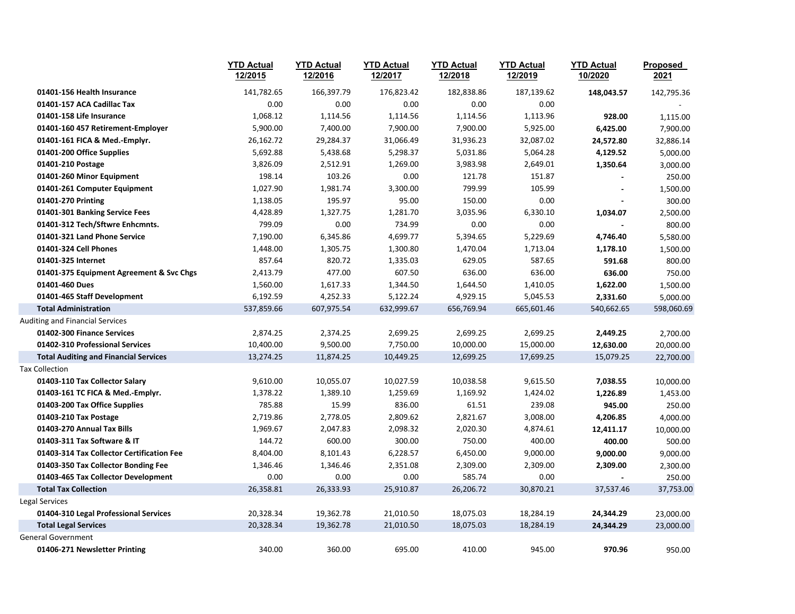|                                              | <b>YTD Actual</b><br>12/2015 | <b>YTD Actual</b><br>12/2016 | <b>YTD Actual</b><br>12/2017 | <b>YTD Actual</b><br>12/2018 | <b>YTD Actual</b><br>12/2019 | <b>YTD Actual</b><br>10/2020 | Proposed<br>2021 |
|----------------------------------------------|------------------------------|------------------------------|------------------------------|------------------------------|------------------------------|------------------------------|------------------|
| 01401-156 Health Insurance                   | 141,782.65                   | 166,397.79                   | 176,823.42                   | 182,838.86                   | 187,139.62                   | 148,043.57                   | 142,795.36       |
| 01401-157 ACA Cadillac Tax                   | 0.00                         | 0.00                         | 0.00                         | 0.00                         | 0.00                         |                              |                  |
| 01401-158 Life Insurance                     | 1,068.12                     | 1,114.56                     | 1,114.56                     | 1,114.56                     | 1,113.96                     | 928.00                       | 1,115.00         |
| 01401-160 457 Retirement-Employer            | 5,900.00                     | 7,400.00                     | 7,900.00                     | 7,900.00                     | 5,925.00                     | 6,425.00                     | 7,900.00         |
| 01401-161 FICA & Med.-Emplyr.                | 26,162.72                    | 29,284.37                    | 31,066.49                    | 31,936.23                    | 32,087.02                    | 24,572.80                    | 32,886.14        |
| 01401-200 Office Supplies                    | 5,692.88                     | 5,438.68                     | 5,298.37                     | 5,031.86                     | 5,064.28                     | 4,129.52                     | 5,000.00         |
| 01401-210 Postage                            | 3,826.09                     | 2,512.91                     | 1,269.00                     | 3,983.98                     | 2,649.01                     | 1,350.64                     | 3,000.00         |
| 01401-260 Minor Equipment                    | 198.14                       | 103.26                       | 0.00                         | 121.78                       | 151.87                       |                              | 250.00           |
| 01401-261 Computer Equipment                 | 1,027.90                     | 1,981.74                     | 3,300.00                     | 799.99                       | 105.99                       |                              | 1,500.00         |
| 01401-270 Printing                           | 1,138.05                     | 195.97                       | 95.00                        | 150.00                       | 0.00                         |                              | 300.00           |
| 01401-301 Banking Service Fees               | 4,428.89                     | 1,327.75                     | 1,281.70                     | 3,035.96                     | 6,330.10                     | 1,034.07                     | 2,500.00         |
| 01401-312 Tech/Sftwre Enhcmnts.              | 799.09                       | 0.00                         | 734.99                       | 0.00                         | 0.00                         |                              | 800.00           |
| 01401-321 Land Phone Service                 | 7,190.00                     | 6,345.86                     | 4,699.77                     | 5,394.65                     | 5,229.69                     | 4,746.40                     | 5,580.00         |
| 01401-324 Cell Phones                        | 1,448.00                     | 1,305.75                     | 1,300.80                     | 1,470.04                     | 1,713.04                     | 1,178.10                     | 1,500.00         |
| 01401-325 Internet                           | 857.64                       | 820.72                       | 1,335.03                     | 629.05                       | 587.65                       | 591.68                       | 800.00           |
| 01401-375 Equipment Agreement & Svc Chgs     | 2,413.79                     | 477.00                       | 607.50                       | 636.00                       | 636.00                       | 636.00                       | 750.00           |
| 01401-460 Dues                               | 1,560.00                     | 1,617.33                     | 1,344.50                     | 1,644.50                     | 1,410.05                     | 1,622.00                     | 1,500.00         |
| 01401-465 Staff Development                  | 6,192.59                     | 4,252.33                     | 5,122.24                     | 4,929.15                     | 5,045.53                     | 2,331.60                     | 5,000.00         |
| <b>Total Administration</b>                  | 537,859.66                   | 607,975.54                   | 632,999.67                   | 656,769.94                   | 665,601.46                   | 540,662.65                   | 598,060.69       |
| Auditing and Financial Services              |                              |                              |                              |                              |                              |                              |                  |
| 01402-300 Finance Services                   | 2,874.25                     | 2,374.25                     | 2,699.25                     | 2,699.25                     | 2,699.25                     | 2,449.25                     | 2,700.00         |
| 01402-310 Professional Services              | 10,400.00                    | 9,500.00                     | 7,750.00                     | 10,000.00                    | 15,000.00                    | 12,630.00                    | 20,000.00        |
| <b>Total Auditing and Financial Services</b> | 13,274.25                    | 11,874.25                    | 10,449.25                    | 12,699.25                    | 17,699.25                    | 15,079.25                    | 22,700.00        |
| <b>Tax Collection</b>                        |                              |                              |                              |                              |                              |                              |                  |
| 01403-110 Tax Collector Salary               | 9,610.00                     | 10,055.07                    | 10,027.59                    | 10,038.58                    | 9,615.50                     | 7,038.55                     | 10,000.00        |
| 01403-161 TC FICA & Med.-Emplyr.             | 1,378.22                     | 1,389.10                     | 1,259.69                     | 1,169.92                     | 1,424.02                     | 1,226.89                     | 1,453.00         |
| 01403-200 Tax Office Supplies                | 785.88                       | 15.99                        | 836.00                       | 61.51                        | 239.08                       | 945.00                       | 250.00           |
| 01403-210 Tax Postage                        | 2,719.86                     | 2,778.05                     | 2,809.62                     | 2,821.67                     | 3,008.00                     | 4,206.85                     | 4,000.00         |
| 01403-270 Annual Tax Bills                   | 1,969.67                     | 2,047.83                     | 2,098.32                     | 2,020.30                     | 4,874.61                     | 12,411.17                    | 10,000.00        |
| 01403-311 Tax Software & IT                  | 144.72                       | 600.00                       | 300.00                       | 750.00                       | 400.00                       | 400.00                       | 500.00           |
| 01403-314 Tax Collector Certification Fee    | 8,404.00                     | 8,101.43                     | 6,228.57                     | 6,450.00                     | 9,000.00                     | 9,000.00                     | 9,000.00         |
| 01403-350 Tax Collector Bonding Fee          | 1,346.46                     | 1,346.46                     | 2,351.08                     | 2,309.00                     | 2,309.00                     | 2,309.00                     | 2,300.00         |
| 01403-465 Tax Collector Development          | 0.00                         | 0.00                         | 0.00                         | 585.74                       | 0.00                         |                              | 250.00           |
| <b>Total Tax Collection</b>                  | 26,358.81                    | 26,333.93                    | 25,910.87                    | 26,206.72                    | 30,870.21                    | 37,537.46                    | 37,753.00        |
| Legal Services                               |                              |                              |                              |                              |                              |                              |                  |
| 01404-310 Legal Professional Services        | 20,328.34                    | 19,362.78                    | 21,010.50                    | 18,075.03                    | 18,284.19                    | 24,344.29                    | 23,000.00        |
| <b>Total Legal Services</b>                  | 20,328.34                    | 19,362.78                    | 21,010.50                    | 18,075.03                    | 18,284.19                    | 24,344.29                    | 23,000.00        |
| <b>General Government</b>                    |                              |                              |                              |                              |                              |                              |                  |
| 01406-271 Newsletter Printing                | 340.00                       | 360.00                       | 695.00                       | 410.00                       | 945.00                       | 970.96                       | 950.00           |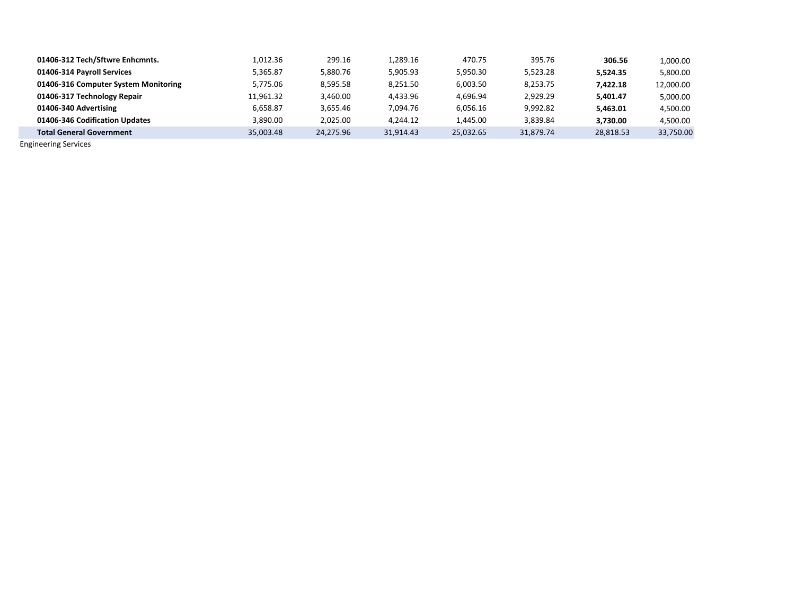| 01406-312 Tech/Sftwre Enhcmnts.      | 1.012.36  | 299.16    | 1.289.16  | 470.75    | 395.76    | 306.56    | 1,000.00  |
|--------------------------------------|-----------|-----------|-----------|-----------|-----------|-----------|-----------|
| 01406-314 Payroll Services           | 5.365.87  | 5,880.76  | 5,905.93  | 5,950.30  | 5.523.28  | 5.524.35  | 5,800.00  |
| 01406-316 Computer System Monitoring | 5,775.06  | 8,595.58  | 8,251.50  | 6,003.50  | 8,253.75  | 7,422.18  | 12.000.00 |
| 01406-317 Technology Repair          | 11.961.32 | 3,460.00  | 4.433.96  | 4.696.94  | 2.929.29  | 5.401.47  | 5,000.00  |
| 01406-340 Advertising                | 6.658.87  | 3,655.46  | 7.094.76  | 6,056.16  | 9.992.82  | 5.463.01  | 4,500.00  |
| 01406-346 Codification Updates       | 3.890.00  | 2,025.00  | 4.244.12  | 1,445.00  | 3,839.84  | 3.730.00  | 4.500.00  |
| <b>Total General Government</b>      | 35.003.48 | 24.275.96 | 31.914.43 | 25,032.65 | 31.879.74 | 28,818.53 | 33,750.00 |

Engineering Services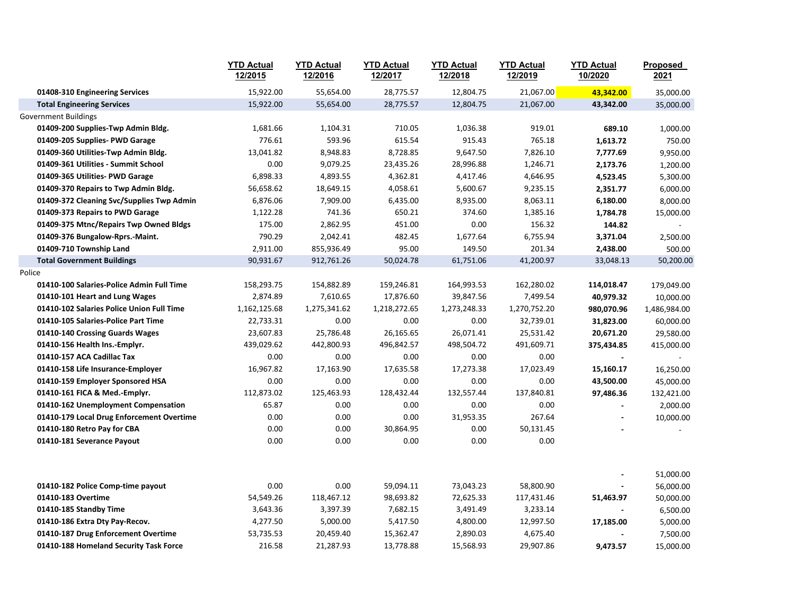|                                           | <b>YTD Actual</b><br>12/2015 | <b>YTD Actual</b><br>12/2016 | <b>YTD Actual</b><br>12/2017 | <b>YTD Actual</b><br>12/2018 | <b>YTD Actual</b><br>12/2019 | <b>YTD Actual</b><br>10/2020 | Proposed<br>2021 |
|-------------------------------------------|------------------------------|------------------------------|------------------------------|------------------------------|------------------------------|------------------------------|------------------|
| 01408-310 Engineering Services            | 15,922.00                    | 55,654.00                    | 28,775.57                    | 12,804.75                    | 21,067.00                    | 43,342.00                    | 35,000.00        |
| <b>Total Engineering Services</b>         | 15,922.00                    | 55,654.00                    | 28,775.57                    | 12,804.75                    | 21,067.00                    | 43,342.00                    | 35,000.00        |
| Government Buildings                      |                              |                              |                              |                              |                              |                              |                  |
| 01409-200 Supplies-Twp Admin Bldg.        | 1,681.66                     | 1,104.31                     | 710.05                       | 1,036.38                     | 919.01                       | 689.10                       | 1,000.00         |
| 01409-205 Supplies- PWD Garage            | 776.61                       | 593.96                       | 615.54                       | 915.43                       | 765.18                       | 1,613.72                     | 750.00           |
| 01409-360 Utilities-Twp Admin Bldg.       | 13,041.82                    | 8,948.83                     | 8,728.85                     | 9,647.50                     | 7,826.10                     | 7,777.69                     | 9,950.00         |
| 01409-361 Utilities - Summit School       | 0.00                         | 9,079.25                     | 23,435.26                    | 28,996.88                    | 1,246.71                     | 2,173.76                     | 1,200.00         |
| 01409-365 Utilities- PWD Garage           | 6,898.33                     | 4,893.55                     | 4,362.81                     | 4,417.46                     | 4,646.95                     | 4,523.45                     | 5,300.00         |
| 01409-370 Repairs to Twp Admin Bldg.      | 56,658.62                    | 18,649.15                    | 4,058.61                     | 5,600.67                     | 9,235.15                     | 2,351.77                     | 6,000.00         |
| 01409-372 Cleaning Svc/Supplies Twp Admin | 6,876.06                     | 7,909.00                     | 6,435.00                     | 8,935.00                     | 8,063.11                     | 6,180.00                     | 8,000.00         |
| 01409-373 Repairs to PWD Garage           | 1,122.28                     | 741.36                       | 650.21                       | 374.60                       | 1,385.16                     | 1,784.78                     | 15,000.00        |
| 01409-375 Mtnc/Repairs Twp Owned Bldgs    | 175.00                       | 2,862.95                     | 451.00                       | 0.00                         | 156.32                       | 144.82                       |                  |
| 01409-376 Bungalow-Rprs.-Maint.           | 790.29                       | 2,042.41                     | 482.45                       | 1,677.64                     | 6,755.94                     | 3,371.04                     | 2,500.00         |
| 01409-710 Township Land                   | 2,911.00                     | 855,936.49                   | 95.00                        | 149.50                       | 201.34                       | 2,438.00                     | 500.00           |
| <b>Total Government Buildings</b>         | 90,931.67                    | 912,761.26                   | 50,024.78                    | 61,751.06                    | 41,200.97                    | 33,048.13                    | 50,200.00        |
| Police                                    |                              |                              |                              |                              |                              |                              |                  |
| 01410-100 Salaries-Police Admin Full Time | 158,293.75                   | 154,882.89                   | 159,246.81                   | 164,993.53                   | 162,280.02                   | 114,018.47                   | 179,049.00       |
| 01410-101 Heart and Lung Wages            | 2,874.89                     | 7,610.65                     | 17,876.60                    | 39,847.56                    | 7,499.54                     | 40,979.32                    | 10,000.00        |
| 01410-102 Salaries Police Union Full Time | 1,162,125.68                 | 1,275,341.62                 | 1,218,272.65                 | 1,273,248.33                 | 1,270,752.20                 | 980,070.96                   | 1,486,984.00     |
| 01410-105 Salaries-Police Part Time       | 22,733.31                    | 0.00                         | 0.00                         | 0.00                         | 32,739.01                    | 31,823.00                    | 60,000.00        |
| 01410-140 Crossing Guards Wages           | 23,607.83                    | 25,786.48                    | 26,165.65                    | 26,071.41                    | 25,531.42                    | 20,671.20                    | 29,580.00        |
| 01410-156 Health Ins.-Emplyr.             | 439,029.62                   | 442,800.93                   | 496,842.57                   | 498,504.72                   | 491,609.71                   | 375,434.85                   | 415,000.00       |
| 01410-157 ACA Cadillac Tax                | 0.00                         | 0.00                         | 0.00                         | 0.00                         | 0.00                         |                              |                  |
| 01410-158 Life Insurance-Employer         | 16,967.82                    | 17,163.90                    | 17,635.58                    | 17,273.38                    | 17,023.49                    | 15,160.17                    | 16,250.00        |
| 01410-159 Employer Sponsored HSA          | 0.00                         | 0.00                         | 0.00                         | 0.00                         | 0.00                         | 43,500.00                    | 45,000.00        |
| 01410-161 FICA & Med.-Emplyr.             | 112,873.02                   | 125,463.93                   | 128,432.44                   | 132,557.44                   | 137,840.81                   | 97,486.36                    | 132,421.00       |
| 01410-162 Unemployment Compensation       | 65.87                        | 0.00                         | 0.00                         | 0.00                         | 0.00                         | $\blacksquare$               | 2,000.00         |
| 01410-179 Local Drug Enforcement Overtime | 0.00                         | 0.00                         | 0.00                         | 31,953.35                    | 267.64                       |                              | 10,000.00        |
| 01410-180 Retro Pay for CBA               | 0.00                         | 0.00                         | 30,864.95                    | 0.00                         | 50,131.45                    |                              |                  |
| 01410-181 Severance Payout                | 0.00                         | 0.00                         | 0.00                         | 0.00                         | 0.00                         |                              |                  |
|                                           |                              |                              |                              |                              |                              |                              | 51,000.00        |
| 01410-182 Police Comp-time payout         | 0.00                         | 0.00                         | 59,094.11                    | 73,043.23                    | 58,800.90                    |                              | 56,000.00        |
| 01410-183 Overtime                        | 54,549.26                    | 118,467.12                   | 98,693.82                    | 72,625.33                    | 117,431.46                   | 51,463.97                    | 50,000.00        |
| 01410-185 Standby Time                    | 3,643.36                     | 3,397.39                     | 7,682.15                     | 3,491.49                     | 3,233.14                     |                              | 6,500.00         |
| 01410-186 Extra Dty Pay-Recov.            | 4,277.50                     | 5,000.00                     | 5,417.50                     | 4,800.00                     | 12,997.50                    | 17,185.00                    | 5,000.00         |
| 01410-187 Drug Enforcement Overtime       | 53,735.53                    | 20,459.40                    | 15,362.47                    | 2,890.03                     | 4,675.40                     |                              | 7,500.00         |
| 01410-188 Homeland Security Task Force    | 216.58                       | 21,287.93                    | 13,778.88                    | 15,568.93                    | 29,907.86                    | 9,473.57                     | 15,000.00        |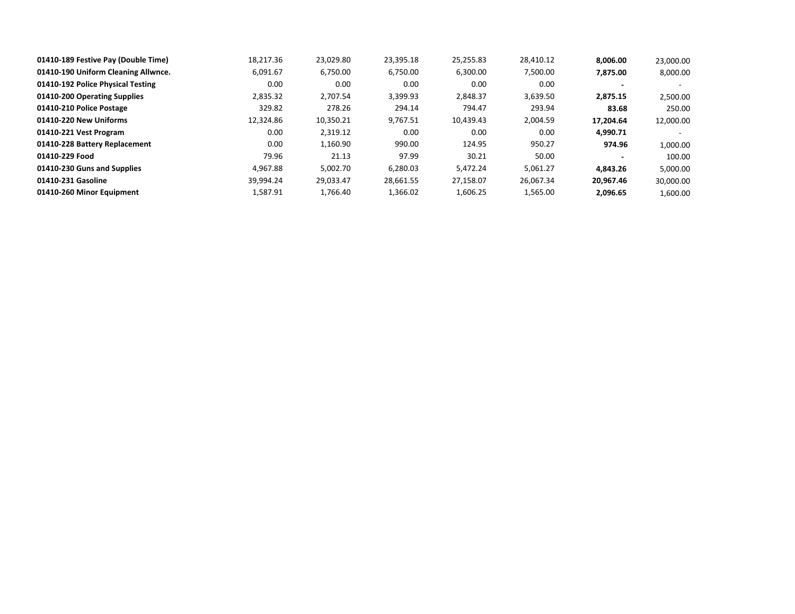| 01410-189 Festive Pay (Double Time) | 18.217.36 | 23,029.80 | 23,395.18 | 25,255.83 | 28,410.12 | 8.006.00  | 23,000.00 |
|-------------------------------------|-----------|-----------|-----------|-----------|-----------|-----------|-----------|
| 01410-190 Uniform Cleaning Allwnce. | 6.091.67  | 6,750.00  | 6,750.00  | 6.300.00  | 7,500.00  | 7.875.00  | 8,000.00  |
| 01410-192 Police Physical Testing   | 0.00      | 0.00      | 0.00      | 0.00      | 0.00      |           |           |
| 01410-200 Operating Supplies        | 2,835.32  | 2.707.54  | 3,399.93  | 2,848.37  | 3,639.50  | 2,875.15  | 2,500.00  |
| 01410-210 Police Postage            | 329.82    | 278.26    | 294.14    | 794.47    | 293.94    | 83.68     | 250.00    |
| 01410-220 New Uniforms              | 12.324.86 | 10,350.21 | 9,767.51  | 10.439.43 | 2.004.59  | 17.204.64 | 12,000.00 |
| 01410-221 Vest Program              | 0.00      | 2,319.12  | 0.00      | 0.00      | 0.00      | 4,990.71  |           |
| 01410-228 Battery Replacement       | 0.00      | 1,160.90  | 990.00    | 124.95    | 950.27    | 974.96    | 1,000.00  |
| 01410-229 Food                      | 79.96     | 21.13     | 97.99     | 30.21     | 50.00     |           | 100.00    |
| 01410-230 Guns and Supplies         | 4.967.88  | 5.002.70  | 6.280.03  | 5.472.24  | 5,061.27  | 4.843.26  | 5,000.00  |
| 01410-231 Gasoline                  | 39.994.24 | 29,033.47 | 28,661.55 | 27,158.07 | 26.067.34 | 20.967.46 | 30,000.00 |
| 01410-260 Minor Equipment           | 1,587.91  | 1,766.40  | 1,366.02  | 1,606.25  | 1,565.00  | 2,096.65  | 1,600.00  |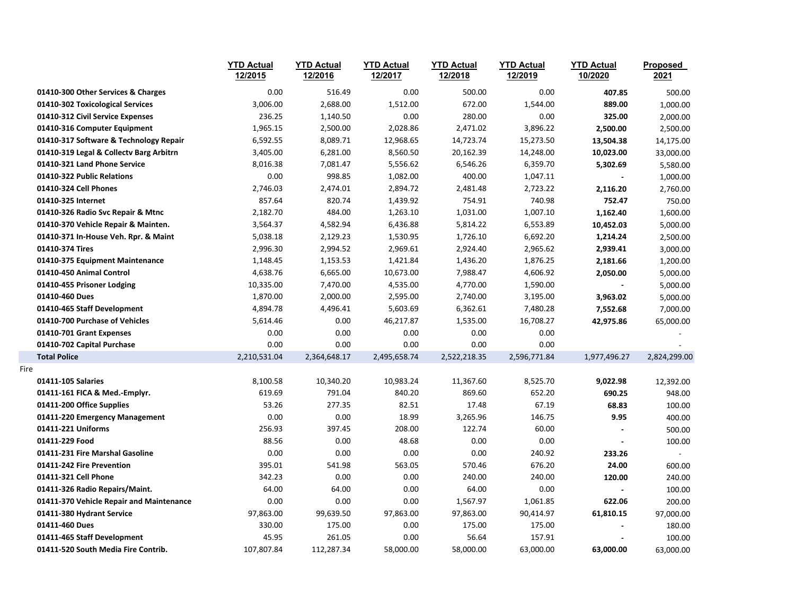|      |                                          | <b>YTD Actual</b><br>12/2015 | <b>YTD Actual</b><br>12/2016 | <b>YTD Actual</b><br>12/2017 | <b>YTD Actual</b><br>12/2018 | <b>YTD Actual</b><br>12/2019 | <b>YTD Actual</b><br>10/2020 | Proposed<br>2021 |
|------|------------------------------------------|------------------------------|------------------------------|------------------------------|------------------------------|------------------------------|------------------------------|------------------|
|      | 01410-300 Other Services & Charges       | 0.00                         | 516.49                       | 0.00                         | 500.00                       | 0.00                         | 407.85                       | 500.00           |
|      | 01410-302 Toxicological Services         | 3,006.00                     | 2,688.00                     | 1,512.00                     | 672.00                       | 1,544.00                     | 889.00                       | 1,000.00         |
|      | 01410-312 Civil Service Expenses         | 236.25                       | 1,140.50                     | 0.00                         | 280.00                       | 0.00                         | 325.00                       | 2,000.00         |
|      | 01410-316 Computer Equipment             | 1,965.15                     | 2,500.00                     | 2,028.86                     | 2,471.02                     | 3,896.22                     | 2,500.00                     | 2,500.00         |
|      | 01410-317 Software & Technology Repair   | 6,592.55                     | 8,089.71                     | 12,968.65                    | 14,723.74                    | 15,273.50                    | 13,504.38                    | 14,175.00        |
|      | 01410-319 Legal & Collectv Barg Arbitrn  | 3,405.00                     | 6,281.00                     | 8,560.50                     | 20,162.39                    | 14,248.00                    | 10,023.00                    | 33,000.00        |
|      | 01410-321 Land Phone Service             | 8,016.38                     | 7,081.47                     | 5,556.62                     | 6,546.26                     | 6,359.70                     | 5,302.69                     | 5,580.00         |
|      | 01410-322 Public Relations               | 0.00                         | 998.85                       | 1,082.00                     | 400.00                       | 1,047.11                     |                              | 1,000.00         |
|      | 01410-324 Cell Phones                    | 2,746.03                     | 2,474.01                     | 2,894.72                     | 2,481.48                     | 2,723.22                     | 2,116.20                     | 2,760.00         |
|      | 01410-325 Internet                       | 857.64                       | 820.74                       | 1,439.92                     | 754.91                       | 740.98                       | 752.47                       | 750.00           |
|      | 01410-326 Radio Svc Repair & Mtnc        | 2,182.70                     | 484.00                       | 1,263.10                     | 1,031.00                     | 1,007.10                     | 1,162.40                     | 1,600.00         |
|      | 01410-370 Vehicle Repair & Mainten.      | 3,564.37                     | 4,582.94                     | 6,436.88                     | 5,814.22                     | 6,553.89                     | 10,452.03                    | 5,000.00         |
|      | 01410-371 In-House Veh. Rpr. & Maint     | 5,038.18                     | 2,129.23                     | 1,530.95                     | 1,726.10                     | 6,692.20                     | 1,214.24                     | 2,500.00         |
|      | 01410-374 Tires                          | 2,996.30                     | 2,994.52                     | 2,969.61                     | 2,924.40                     | 2,965.62                     | 2,939.41                     | 3,000.00         |
|      | 01410-375 Equipment Maintenance          | 1,148.45                     | 1,153.53                     | 1,421.84                     | 1,436.20                     | 1,876.25                     | 2,181.66                     | 1,200.00         |
|      | 01410-450 Animal Control                 | 4,638.76                     | 6,665.00                     | 10,673.00                    | 7,988.47                     | 4,606.92                     | 2,050.00                     | 5,000.00         |
|      | 01410-455 Prisoner Lodging               | 10,335.00                    | 7,470.00                     | 4,535.00                     | 4,770.00                     | 1,590.00                     | $\blacksquare$               | 5,000.00         |
|      | 01410-460 Dues                           | 1,870.00                     | 2,000.00                     | 2,595.00                     | 2,740.00                     | 3,195.00                     | 3,963.02                     | 5,000.00         |
|      | 01410-465 Staff Development              | 4,894.78                     | 4,496.41                     | 5,603.69                     | 6,362.61                     | 7,480.28                     | 7,552.68                     | 7,000.00         |
|      | 01410-700 Purchase of Vehicles           | 5,614.46                     | 0.00                         | 46,217.87                    | 1,535.00                     | 16,708.27                    | 42,975.86                    | 65,000.00        |
|      | 01410-701 Grant Expenses                 | 0.00                         | 0.00                         | 0.00                         | 0.00                         | 0.00                         |                              |                  |
|      | 01410-702 Capital Purchase               | 0.00                         | 0.00                         | 0.00                         | 0.00                         | 0.00                         |                              |                  |
|      | <b>Total Police</b>                      | 2,210,531.04                 | 2,364,648.17                 | 2,495,658.74                 | 2,522,218.35                 | 2,596,771.84                 | 1,977,496.27                 | 2,824,299.00     |
| Fire |                                          |                              |                              |                              |                              |                              |                              |                  |
|      | 01411-105 Salaries                       | 8,100.58                     | 10,340.20                    | 10,983.24                    | 11,367.60                    | 8,525.70                     | 9,022.98                     | 12,392.00        |
|      | 01411-161 FICA & Med.-Emplyr.            | 619.69                       | 791.04                       | 840.20                       | 869.60                       | 652.20                       | 690.25                       | 948.00           |
|      | 01411-200 Office Supplies                | 53.26                        | 277.35                       | 82.51                        | 17.48                        | 67.19                        | 68.83                        | 100.00           |
|      | 01411-220 Emergency Management           | 0.00                         | 0.00                         | 18.99                        | 3,265.96                     | 146.75                       | 9.95                         | 400.00           |
|      | 01411-221 Uniforms                       | 256.93                       | 397.45                       | 208.00                       | 122.74                       | 60.00                        | $\blacksquare$               | 500.00           |
|      | 01411-229 Food                           | 88.56                        | 0.00                         | 48.68                        | 0.00                         | 0.00                         |                              | 100.00           |
|      | 01411-231 Fire Marshal Gasoline          | 0.00                         | 0.00                         | 0.00                         | 0.00                         | 240.92                       | 233.26                       | $\mathcal{L}$    |
|      | 01411-242 Fire Prevention                | 395.01                       | 541.98                       | 563.05                       | 570.46                       | 676.20                       | 24.00                        | 600.00           |
|      | 01411-321 Cell Phone                     | 342.23                       | 0.00                         | 0.00                         | 240.00                       | 240.00                       | 120.00                       | 240.00           |
|      | 01411-326 Radio Repairs/Maint.           | 64.00                        | 64.00                        | 0.00                         | 64.00                        | 0.00                         |                              | 100.00           |
|      | 01411-370 Vehicle Repair and Maintenance | 0.00                         | 0.00                         | 0.00                         | 1,567.97                     | 1,061.85                     | 622.06                       | 200.00           |
|      | 01411-380 Hydrant Service                | 97,863.00                    | 99,639.50                    | 97,863.00                    | 97,863.00                    | 90,414.97                    | 61,810.15                    | 97,000.00        |
|      | 01411-460 Dues                           | 330.00                       | 175.00                       | 0.00                         | 175.00                       | 175.00                       |                              | 180.00           |
|      | 01411-465 Staff Development              | 45.95                        | 261.05                       | 0.00                         | 56.64                        | 157.91                       |                              | 100.00           |
|      | 01411-520 South Media Fire Contrib.      | 107,807.84                   | 112,287.34                   | 58,000.00                    | 58,000.00                    | 63,000.00                    | 63,000.00                    | 63,000.00        |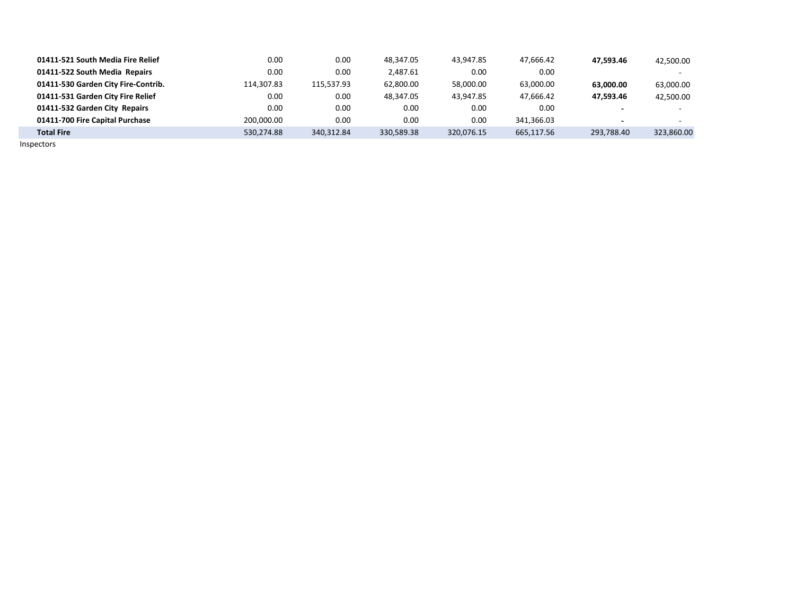| 01411-521 South Media Fire Relief   | 0.00       | 0.00       | 48.347.05  | 43.947.85  | 47.666.42  | 47.593.46  | 42.500.00  |
|-------------------------------------|------------|------------|------------|------------|------------|------------|------------|
| 01411-522 South Media Repairs       | 0.00       | 0.00       | 2.487.61   | 0.00       | 0.00       |            | $\sim$     |
| 01411-530 Garden City Fire-Contrib. | 114,307.83 | 115.537.93 | 62,800.00  | 58,000.00  | 63,000.00  | 63.000.00  | 63,000.00  |
| 01411-531 Garden City Fire Relief   | 0.00       | 0.00       | 48.347.05  | 43.947.85  | 47.666.42  | 47.593.46  | 42.500.00  |
| 01411-532 Garden City Repairs       | 0.00       | 0.00       | 0.00       | 0.00       | 0.00       |            | $\sim$     |
| 01411-700 Fire Capital Purchase     | 200.000.00 | 0.00       | 0.00       | 0.00       | 341.366.03 |            |            |
| <b>Total Fire</b>                   | 530.274.88 | 340.312.84 | 330,589.38 | 320,076.15 | 665,117.56 | 293,788.40 | 323,860.00 |

Inspectors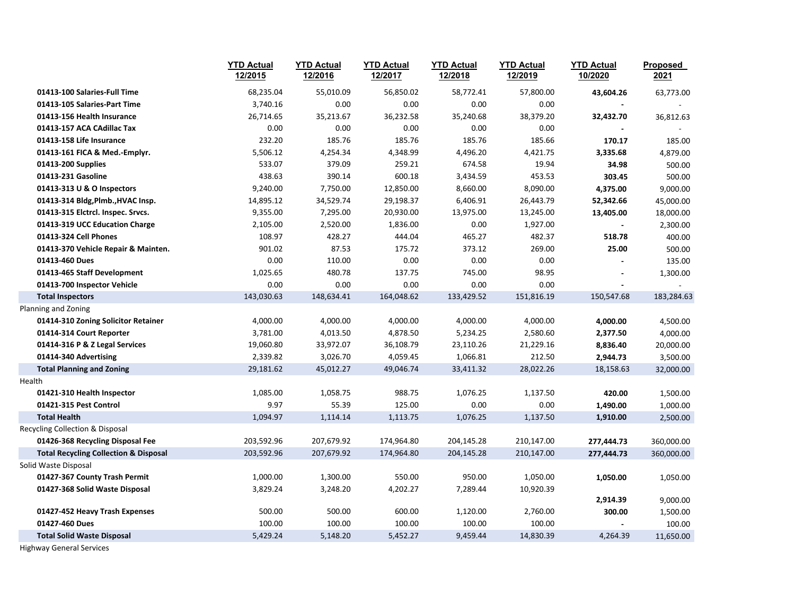|                                                  | <b>YTD Actual</b><br>12/2015 | <b>YTD Actual</b><br>12/2016 | <b>YTD Actual</b><br>12/2017 | <b>YTD Actual</b><br>12/2018 | <b>YTD Actual</b><br>12/2019 | <b>YTD Actual</b><br>10/2020 | Proposed<br>2021 |
|--------------------------------------------------|------------------------------|------------------------------|------------------------------|------------------------------|------------------------------|------------------------------|------------------|
| 01413-100 Salaries-Full Time                     | 68,235.04                    | 55,010.09                    | 56,850.02                    | 58,772.41                    | 57,800.00                    | 43,604.26                    | 63,773.00        |
| 01413-105 Salaries-Part Time                     | 3,740.16                     | 0.00                         | 0.00                         | 0.00                         | 0.00                         |                              |                  |
| 01413-156 Health Insurance                       | 26,714.65                    | 35,213.67                    | 36,232.58                    | 35,240.68                    | 38,379.20                    | 32,432.70                    | 36,812.63        |
| 01413-157 ACA CAdillac Tax                       | 0.00                         | 0.00                         | 0.00                         | 0.00                         | 0.00                         |                              |                  |
| 01413-158 Life Insurance                         | 232.20                       | 185.76                       | 185.76                       | 185.76                       | 185.66                       | 170.17                       | 185.00           |
| 01413-161 FICA & Med.-Emplyr.                    | 5,506.12                     | 4,254.34                     | 4,348.99                     | 4,496.20                     | 4,421.75                     | 3,335.68                     | 4,879.00         |
| 01413-200 Supplies                               | 533.07                       | 379.09                       | 259.21                       | 674.58                       | 19.94                        | 34.98                        | 500.00           |
| 01413-231 Gasoline                               | 438.63                       | 390.14                       | 600.18                       | 3,434.59                     | 453.53                       | 303.45                       | 500.00           |
| 01413-313 U & O Inspectors                       | 9,240.00                     | 7,750.00                     | 12,850.00                    | 8,660.00                     | 8,090.00                     | 4,375.00                     | 9,000.00         |
| 01413-314 Bldg, Plmb., HVAC Insp.                | 14,895.12                    | 34,529.74                    | 29,198.37                    | 6,406.91                     | 26,443.79                    | 52,342.66                    | 45,000.00        |
| 01413-315 Elctrcl. Inspec. Srvcs.                | 9,355.00                     | 7,295.00                     | 20,930.00                    | 13,975.00                    | 13,245.00                    | 13,405.00                    | 18,000.00        |
| 01413-319 UCC Education Charge                   | 2,105.00                     | 2,520.00                     | 1,836.00                     | 0.00                         | 1,927.00                     |                              | 2,300.00         |
| 01413-324 Cell Phones                            | 108.97                       | 428.27                       | 444.04                       | 465.27                       | 482.37                       | 518.78                       | 400.00           |
| 01413-370 Vehicle Repair & Mainten.              | 901.02                       | 87.53                        | 175.72                       | 373.12                       | 269.00                       | 25.00                        | 500.00           |
| 01413-460 Dues                                   | 0.00                         | 110.00                       | 0.00                         | 0.00                         | 0.00                         | $\sim$                       | 135.00           |
| 01413-465 Staff Development                      | 1,025.65                     | 480.78                       | 137.75                       | 745.00                       | 98.95                        |                              | 1,300.00         |
| 01413-700 Inspector Vehicle                      | 0.00                         | 0.00                         | 0.00                         | 0.00                         | 0.00                         |                              |                  |
| <b>Total Inspectors</b>                          | 143,030.63                   | 148,634.41                   | 164,048.62                   | 133,429.52                   | 151,816.19                   | 150,547.68                   | 183,284.63       |
| Planning and Zoning                              |                              |                              |                              |                              |                              |                              |                  |
| 01414-310 Zoning Solicitor Retainer              | 4,000.00                     | 4,000.00                     | 4,000.00                     | 4,000.00                     | 4,000.00                     | 4,000.00                     | 4,500.00         |
| 01414-314 Court Reporter                         | 3,781.00                     | 4,013.50                     | 4,878.50                     | 5,234.25                     | 2,580.60                     | 2,377.50                     | 4,000.00         |
| 01414-316 P & Z Legal Services                   | 19,060.80                    | 33,972.07                    | 36,108.79                    | 23,110.26                    | 21,229.16                    | 8,836.40                     | 20,000.00        |
| 01414-340 Advertising                            | 2,339.82                     | 3,026.70                     | 4,059.45                     | 1,066.81                     | 212.50                       | 2,944.73                     | 3,500.00         |
| <b>Total Planning and Zoning</b>                 | 29,181.62                    | 45,012.27                    | 49,046.74                    | 33,411.32                    | 28,022.26                    | 18,158.63                    | 32,000.00        |
| Health                                           |                              |                              |                              |                              |                              |                              |                  |
| 01421-310 Health Inspector                       | 1,085.00                     | 1,058.75                     | 988.75                       | 1,076.25                     | 1,137.50                     | 420.00                       | 1,500.00         |
| 01421-315 Pest Control                           | 9.97                         | 55.39                        | 125.00                       | 0.00                         | 0.00                         | 1,490.00                     | 1,000.00         |
| <b>Total Health</b>                              | 1,094.97                     | 1,114.14                     | 1,113.75                     | 1,076.25                     | 1,137.50                     | 1,910.00                     | 2,500.00         |
| Recycling Collection & Disposal                  |                              |                              |                              |                              |                              |                              |                  |
| 01426-368 Recycling Disposal Fee                 | 203,592.96                   | 207,679.92                   | 174,964.80                   | 204,145.28                   | 210,147.00                   | 277,444.73                   | 360,000.00       |
| <b>Total Recycling Collection &amp; Disposal</b> | 203,592.96                   | 207,679.92                   | 174,964.80                   | 204,145.28                   | 210,147.00                   | 277,444.73                   | 360,000.00       |
| Solid Waste Disposal                             |                              |                              |                              |                              |                              |                              |                  |
| 01427-367 County Trash Permit                    | 1,000.00                     | 1,300.00                     | 550.00                       | 950.00                       | 1,050.00                     | 1,050.00                     | 1,050.00         |
| 01427-368 Solid Waste Disposal                   | 3,829.24                     | 3,248.20                     | 4,202.27                     | 7,289.44                     | 10,920.39                    |                              |                  |
|                                                  |                              |                              |                              |                              |                              | 2,914.39                     | 9,000.00         |
| 01427-452 Heavy Trash Expenses                   | 500.00                       | 500.00                       | 600.00                       | 1,120.00                     | 2,760.00                     | 300.00                       | 1,500.00         |
| 01427-460 Dues                                   | 100.00                       | 100.00                       | 100.00                       | 100.00                       | 100.00                       |                              | 100.00           |
| <b>Total Solid Waste Disposal</b>                | 5,429.24                     | 5,148.20                     | 5,452.27                     | 9,459.44                     | 14,830.39                    | 4,264.39                     | 11,650.00        |

Highway General Services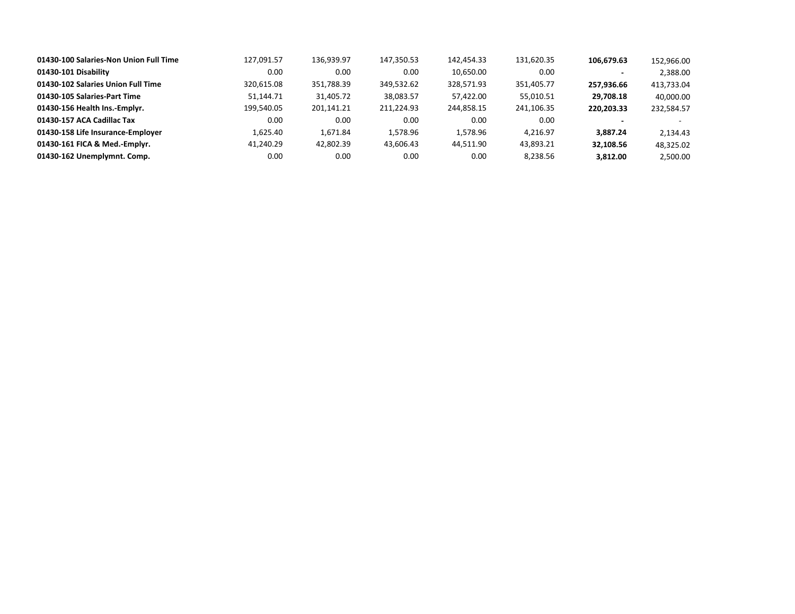| 01430-100 Salaries-Non Union Full Time | 127,091.57 | 136,939.97 | 147,350.53 | 142,454.33 | 131,620.35 | 106.679.63 | 152,966.00 |
|----------------------------------------|------------|------------|------------|------------|------------|------------|------------|
| 01430-101 Disability                   | 0.00       | 0.00       | 0.00       | 10,650.00  | 0.00       |            | 2,388.00   |
| 01430-102 Salaries Union Full Time     | 320.615.08 | 351,788.39 | 349,532.62 | 328,571.93 | 351,405.77 | 257,936.66 | 413,733.04 |
| 01430-105 Salaries-Part Time           | 51,144.71  | 31,405.72  | 38,083.57  | 57,422.00  | 55,010.51  | 29.708.18  | 40.000.00  |
| 01430-156 Health Ins.-Emplyr.          | 199,540.05 | 201,141.21 | 211,224.93 | 244,858.15 | 241,106.35 | 220.203.33 | 232,584.57 |
| 01430-157 ACA Cadillac Tax             | 0.00       | 0.00       | 0.00       | 0.00       | 0.00       |            |            |
| 01430-158 Life Insurance-Employer      | 1,625.40   | 1.671.84   | 1,578.96   | 1.578.96   | 4.216.97   | 3.887.24   | 2.134.43   |
| 01430-161 FICA & Med.-Emplyr.          | 41,240.29  | 42,802.39  | 43,606.43  | 44,511.90  | 43,893.21  | 32.108.56  | 48.325.02  |
| 01430-162 Unemplymnt. Comp.            | 0.00       | 0.00       | 0.00       | 0.00       | 8,238.56   | 3,812.00   | 2,500.00   |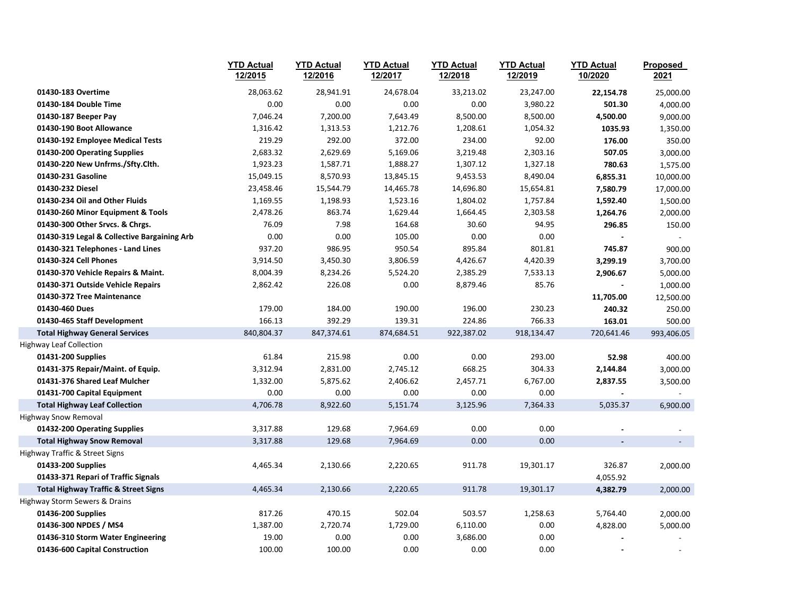|                                                                     | <b>YTD Actual</b><br>12/2015 | <b>YTD Actual</b><br>12/2016 | <b>YTD Actual</b><br>12/2017 | <b>YTD Actual</b><br>12/2018 | <b>YTD Actual</b><br>12/2019 | <b>YTD Actual</b><br>10/2020 | Proposed<br>2021 |
|---------------------------------------------------------------------|------------------------------|------------------------------|------------------------------|------------------------------|------------------------------|------------------------------|------------------|
| 01430-183 Overtime                                                  | 28,063.62                    | 28,941.91                    | 24,678.04                    | 33,213.02                    | 23,247.00                    | 22,154.78                    | 25,000.00        |
| 01430-184 Double Time                                               | 0.00                         | 0.00                         | 0.00                         | 0.00                         | 3,980.22                     | 501.30                       | 4,000.00         |
| 01430-187 Beeper Pay                                                | 7,046.24                     | 7,200.00                     | 7,643.49                     | 8,500.00                     | 8,500.00                     | 4,500.00                     | 9,000.00         |
| 01430-190 Boot Allowance                                            | 1,316.42                     | 1,313.53                     | 1,212.76                     | 1,208.61                     | 1,054.32                     | 1035.93                      | 1,350.00         |
| 01430-192 Employee Medical Tests                                    | 219.29                       | 292.00                       | 372.00                       | 234.00                       | 92.00                        | 176.00                       | 350.00           |
| 01430-200 Operating Supplies                                        | 2,683.32                     | 2,629.69                     | 5,169.06                     | 3,219.48                     | 2,303.16                     | 507.05                       | 3,000.00         |
| 01430-220 New Unfrms./Sfty.Clth.                                    | 1,923.23                     | 1,587.71                     | 1,888.27                     | 1,307.12                     | 1,327.18                     | 780.63                       | 1,575.00         |
| 01430-231 Gasoline                                                  | 15,049.15                    | 8,570.93                     | 13,845.15                    | 9,453.53                     | 8,490.04                     | 6,855.31                     | 10,000.00        |
| 01430-232 Diesel                                                    | 23,458.46                    | 15,544.79                    | 14,465.78                    | 14,696.80                    | 15,654.81                    | 7,580.79                     | 17,000.00        |
| 01430-234 Oil and Other Fluids                                      | 1,169.55                     | 1,198.93                     | 1,523.16                     | 1,804.02                     | 1,757.84                     | 1,592.40                     | 1,500.00         |
| 01430-260 Minor Equipment & Tools                                   | 2,478.26                     | 863.74                       | 1,629.44                     | 1,664.45                     | 2,303.58                     | 1,264.76                     | 2,000.00         |
| 01430-300 Other Srvcs. & Chrgs.                                     | 76.09                        | 7.98                         | 164.68                       | 30.60                        | 94.95                        | 296.85                       | 150.00           |
| 01430-319 Legal & Collective Bargaining Arb                         | 0.00                         | 0.00                         | 105.00                       | 0.00                         | 0.00                         |                              |                  |
| 01430-321 Telephones - Land Lines                                   | 937.20                       | 986.95                       | 950.54                       | 895.84                       | 801.81                       | 745.87                       | 900.00           |
| 01430-324 Cell Phones                                               | 3,914.50                     | 3,450.30                     | 3,806.59                     | 4,426.67                     | 4,420.39                     | 3,299.19                     | 3,700.00         |
| 01430-370 Vehicle Repairs & Maint.                                  | 8,004.39                     | 8,234.26                     | 5,524.20                     | 2,385.29                     | 7,533.13                     | 2,906.67                     | 5,000.00         |
| 01430-371 Outside Vehicle Repairs                                   | 2,862.42                     | 226.08                       | 0.00                         | 8,879.46                     | 85.76                        |                              | 1,000.00         |
| 01430-372 Tree Maintenance                                          |                              |                              |                              |                              |                              | 11,705.00                    | 12,500.00        |
| 01430-460 Dues                                                      | 179.00                       | 184.00                       | 190.00                       | 196.00                       | 230.23                       | 240.32                       | 250.00           |
| 01430-465 Staff Development                                         | 166.13                       | 392.29                       | 139.31                       | 224.86                       | 766.33                       | 163.01                       | 500.00           |
| <b>Total Highway General Services</b>                               | 840,804.37                   | 847,374.61                   | 874,684.51                   | 922,387.02                   | 918,134.47                   | 720,641.46                   | 993,406.05       |
| <b>Highway Leaf Collection</b>                                      |                              |                              |                              |                              |                              |                              |                  |
| 01431-200 Supplies                                                  | 61.84                        | 215.98                       | 0.00                         | 0.00                         | 293.00                       | 52.98                        | 400.00           |
| 01431-375 Repair/Maint. of Equip.                                   | 3,312.94                     | 2,831.00                     | 2,745.12                     | 668.25                       | 304.33                       | 2,144.84                     | 3,000.00         |
| 01431-376 Shared Leaf Mulcher                                       | 1,332.00                     | 5,875.62                     | 2,406.62                     | 2,457.71                     | 6,767.00                     | 2,837.55                     | 3,500.00         |
| 01431-700 Capital Equipment                                         | 0.00                         | 0.00                         | 0.00                         | 0.00                         | 0.00                         |                              |                  |
| <b>Total Highway Leaf Collection</b>                                | 4,706.78                     | 8,922.60                     | 5,151.74                     | 3,125.96                     | 7,364.33                     | 5,035.37                     | 6,900.00         |
| Highway Snow Removal                                                |                              |                              |                              |                              |                              |                              |                  |
| 01432-200 Operating Supplies                                        | 3,317.88<br>3,317.88         | 129.68<br>129.68             | 7,964.69<br>7,964.69         | 0.00<br>0.00                 | 0.00<br>0.00                 | $\blacksquare$               |                  |
| <b>Total Highway Snow Removal</b><br>Highway Traffic & Street Signs |                              |                              |                              |                              |                              |                              |                  |
| 01433-200 Supplies                                                  | 4,465.34                     | 2,130.66                     | 2,220.65                     | 911.78                       | 19,301.17                    | 326.87                       | 2,000.00         |
| 01433-371 Repari of Traffic Signals                                 |                              |                              |                              |                              |                              | 4,055.92                     |                  |
| <b>Total Highway Traffic &amp; Street Signs</b>                     | 4,465.34                     | 2,130.66                     | 2,220.65                     | 911.78                       | 19,301.17                    | 4,382.79                     | 2,000.00         |
| Highway Storm Sewers & Drains                                       |                              |                              |                              |                              |                              |                              |                  |
| 01436-200 Supplies                                                  | 817.26                       | 470.15                       | 502.04                       | 503.57                       | 1,258.63                     | 5,764.40                     | 2,000.00         |
| 01436-300 NPDES / MS4                                               | 1,387.00                     | 2,720.74                     | 1,729.00                     | 6,110.00                     | 0.00                         | 4,828.00                     | 5,000.00         |
| 01436-310 Storm Water Engineering                                   | 19.00                        | 0.00                         | 0.00                         | 3,686.00                     | 0.00                         |                              |                  |
| 01436-600 Capital Construction                                      | 100.00                       | 100.00                       | 0.00                         | 0.00                         | 0.00                         |                              |                  |
|                                                                     |                              |                              |                              |                              |                              |                              |                  |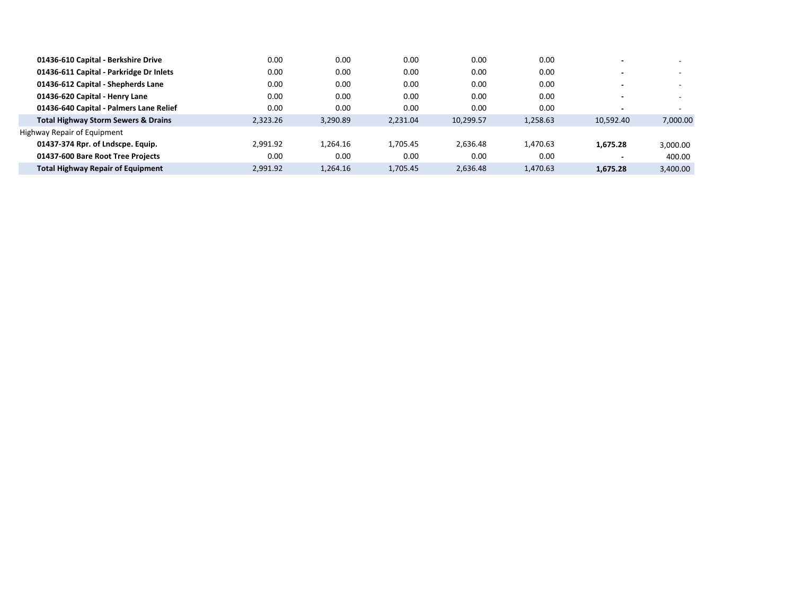| 01436-610 Capital - Berkshire Drive            | 0.00     | 0.00     | 0.00     | 0.00      | 0.00     |           |          |
|------------------------------------------------|----------|----------|----------|-----------|----------|-----------|----------|
| 01436-611 Capital - Parkridge Dr Inlets        | 0.00     | 0.00     | 0.00     | 0.00      | 0.00     |           | -        |
| 01436-612 Capital - Shepherds Lane             | 0.00     | 0.00     | 0.00     | 0.00      | 0.00     |           | -        |
| 01436-620 Capital - Henry Lane                 | 0.00     | 0.00     | 0.00     | 0.00      | 0.00     |           | -        |
| 01436-640 Capital - Palmers Lane Relief        | 0.00     | 0.00     | 0.00     | 0.00      | 0.00     |           |          |
| <b>Total Highway Storm Sewers &amp; Drains</b> | 2.323.26 | 3,290.89 | 2,231.04 | 10,299.57 | 1,258.63 | 10.592.40 | 7,000.00 |
| Highway Repair of Equipment                    |          |          |          |           |          |           |          |
| 01437-374 Rpr. of Lndscpe. Equip.              | 2.991.92 | 1.264.16 | 1.705.45 | 2.636.48  | 1.470.63 | 1.675.28  | 3,000.00 |
| 01437-600 Bare Root Tree Projects              | 0.00     | 0.00     | 0.00     | 0.00      | 0.00     |           | 400.00   |
| <b>Total Highway Repair of Equipment</b>       | 2.991.92 | 1.264.16 | 1,705.45 | 2,636.48  | 1.470.63 | 1.675.28  | 3.400.00 |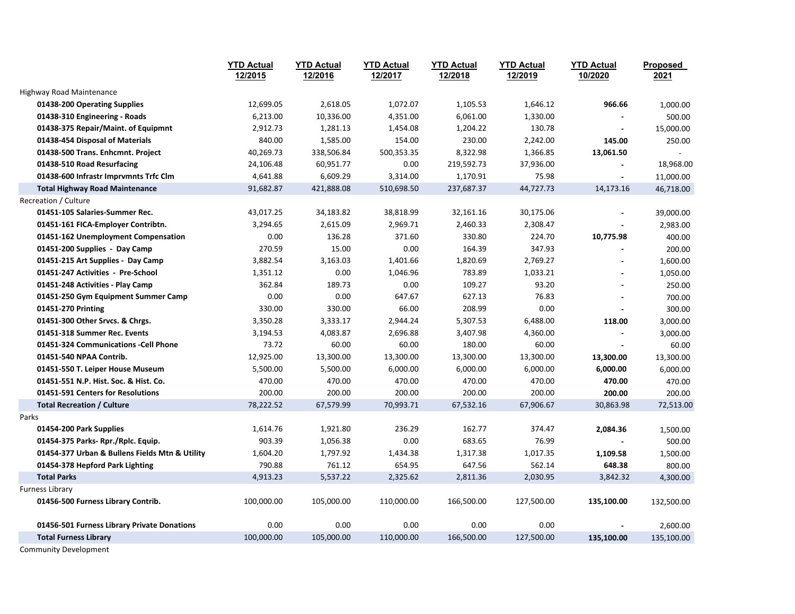|                                                | <b>YTD Actual</b><br>12/2015 | <b>YTD Actual</b><br>12/2016 | <b>YTD Actual</b><br>12/2017 | <b>YTD Actual</b><br>12/2018 | <b>YTD Actual</b><br>12/2019 | <b>YTD Actual</b><br>10/2020 | <b>Proposed</b><br>2021 |
|------------------------------------------------|------------------------------|------------------------------|------------------------------|------------------------------|------------------------------|------------------------------|-------------------------|
| Highway Road Maintenance                       |                              |                              |                              |                              |                              |                              |                         |
| 01438-200 Operating Supplies                   | 12,699.05                    | 2,618.05                     | 1,072.07                     | 1,105.53                     | 1,646.12                     | 966.66                       | 1,000.00                |
| 01438-310 Engineering - Roads                  | 6,213.00                     | 10,336.00                    | 4,351.00                     | 6,061.00                     | 1,330.00                     |                              | 500.00                  |
| 01438-375 Repair/Maint. of Equipmnt            | 2,912.73                     | 1,281.13                     | 1,454.08                     | 1,204.22                     | 130.78                       | $\blacksquare$               | 15,000.00               |
| 01438-454 Disposal of Materials                | 840.00                       | 1,585.00                     | 154.00                       | 230.00                       | 2,242.00                     | 145.00                       | 250.00                  |
| 01438-500 Trans. Enhcmnt. Project              | 40,269.73                    | 338,506.84                   | 500,353.35                   | 8,322.98                     | 1,366.85                     | 13,061.50                    |                         |
| 01438-510 Road Resurfacing                     | 24,106.48                    | 60,951.77                    | 0.00                         | 219,592.73                   | 37,936.00                    |                              | 18,968.00               |
| 01438-600 Infrastr Imprvmnts Trfc Clm          | 4,641.88                     | 6,609.29                     | 3,314.00                     | 1,170.91                     | 75.98                        | $\blacksquare$               | 11,000.00               |
| <b>Total Highway Road Maintenance</b>          | 91,682.87                    | 421,888.08                   | 510,698.50                   | 237,687.37                   | 44,727.73                    | 14,173.16                    | 46,718.00               |
| Recreation / Culture                           |                              |                              |                              |                              |                              |                              |                         |
| 01451-105 Salaries-Summer Rec.                 | 43,017.25                    | 34,183.82                    | 38,818.99                    | 32,161.16                    | 30,175.06                    |                              | 39,000.00               |
| 01451-161 FICA-Employer Contribtn.             | 3,294.65                     | 2,615.09                     | 2,969.71                     | 2,460.33                     | 2,308.47                     |                              | 2,983.00                |
| 01451-162 Unemployment Compensation            | 0.00                         | 136.28                       | 371.60                       | 330.80                       | 224.70                       | 10,775.98                    | 400.00                  |
| 01451-200 Supplies - Day Camp                  | 270.59                       | 15.00                        | 0.00                         | 164.39                       | 347.93                       |                              | 200.00                  |
| 01451-215 Art Supplies - Day Camp              | 3,882.54                     | 3,163.03                     | 1,401.66                     | 1,820.69                     | 2,769.27                     |                              | 1,600.00                |
| 01451-247 Activities - Pre-School              | 1,351.12                     | 0.00                         | 1,046.96                     | 783.89                       | 1,033.21                     |                              | 1,050.00                |
| 01451-248 Activities - Play Camp               | 362.84                       | 189.73                       | 0.00                         | 109.27                       | 93.20                        |                              | 250.00                  |
| 01451-250 Gym Equipment Summer Camp            | 0.00                         | 0.00                         | 647.67                       | 627.13                       | 76.83                        |                              | 700.00                  |
| 01451-270 Printing                             | 330.00                       | 330.00                       | 66.00                        | 208.99                       | 0.00                         | $\blacksquare$               | 300.00                  |
| 01451-300 Other Srvcs. & Chrgs.                | 3,350.28                     | 3,333.17                     | 2,944.24                     | 5,307.53                     | 6,488.00                     | 118.00                       | 3,000.00                |
| 01451-318 Summer Rec. Events                   | 3,194.53                     | 4,083.87                     | 2,696.88                     | 3,407.98                     | 4,360.00                     |                              | 3,000.00                |
| 01451-324 Communications - Cell Phone          | 73.72                        | 60.00                        | 60.00                        | 180.00                       | 60.00                        |                              | 60.00                   |
| 01451-540 NPAA Contrib.                        | 12,925.00                    | 13,300.00                    | 13,300.00                    | 13,300.00                    | 13,300.00                    | 13,300.00                    | 13,300.00               |
| 01451-550 T. Leiper House Museum               | 5,500.00                     | 5,500.00                     | 6,000.00                     | 6,000.00                     | 6,000.00                     | 6,000.00                     | 6,000.00                |
| 01451-551 N.P. Hist. Soc. & Hist. Co.          | 470.00                       | 470.00                       | 470.00                       | 470.00                       | 470.00                       | 470.00                       | 470.00                  |
| 01451-591 Centers for Resolutions              | 200.00                       | 200.00                       | 200.00                       | 200.00                       | 200.00                       | 200.00                       | 200.00                  |
| <b>Total Recreation / Culture</b>              | 78,222.52                    | 67,579.99                    | 70,993.71                    | 67,532.16                    | 67,906.67                    | 30,863.98                    | 72,513.00               |
| Parks                                          |                              |                              |                              |                              |                              |                              |                         |
| 01454-200 Park Supplies                        | 1,614.76                     | 1,921.80                     | 236.29                       | 162.77                       | 374.47                       | 2,084.36                     | 1,500.00                |
| 01454-375 Parks- Rpr./Rplc. Equip.             | 903.39                       | 1,056.38                     | 0.00                         | 683.65                       | 76.99                        |                              | 500.00                  |
| 01454-377 Urban & Bullens Fields Mtn & Utility | 1,604.20                     | 1,797.92                     | 1,434.38                     | 1,317.38                     | 1,017.35                     | 1,109.58                     | 1,500.00                |
| 01454-378 Hepford Park Lighting                | 790.88                       | 761.12                       | 654.95                       | 647.56                       | 562.14                       | 648.38                       | 800.00                  |
| <b>Total Parks</b>                             | 4,913.23                     | 5,537.22                     | 2,325.62                     | 2,811.36                     | 2,030.95                     | 3,842.32                     | 4,300.00                |
| <b>Furness Library</b>                         |                              |                              |                              |                              |                              |                              |                         |
| 01456-500 Furness Library Contrib.             | 100,000.00                   | 105,000.00                   | 110,000.00                   | 166,500.00                   | 127,500.00                   | 135,100.00                   | 132,500.00              |
| 01456-501 Furness Library Private Donations    | 0.00                         | 0.00                         | 0.00                         | 0.00                         | 0.00                         |                              | 2,600.00                |
| <b>Total Furness Library</b>                   | 100,000.00                   | 105,000.00                   | 110,000.00                   | 166,500.00                   | 127,500.00                   | 135,100.00                   | 135,100.00              |

Community Development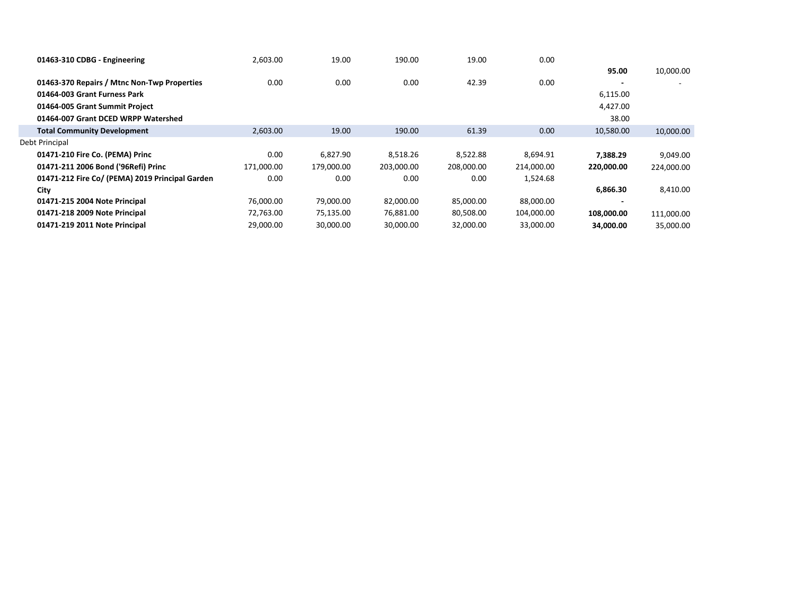| 01463-310 CDBG - Engineering                    | 2,603.00   | 19.00      | 190.00     | 19.00      | 0.00       |            |            |
|-------------------------------------------------|------------|------------|------------|------------|------------|------------|------------|
|                                                 |            |            |            |            |            | 95.00      | 10,000.00  |
| 01463-370 Repairs / Mtnc Non-Twp Properties     | 0.00       | 0.00       | 0.00       | 42.39      | 0.00       |            |            |
| 01464-003 Grant Furness Park                    |            |            |            |            |            | 6,115.00   |            |
| 01464-005 Grant Summit Project                  |            |            |            |            |            | 4,427.00   |            |
| 01464-007 Grant DCED WRPP Watershed             |            |            |            |            |            | 38.00      |            |
| <b>Total Community Development</b>              | 2,603.00   | 19.00      | 190.00     | 61.39      | 0.00       | 10,580.00  | 10,000.00  |
| Debt Principal                                  |            |            |            |            |            |            |            |
| 01471-210 Fire Co. (PEMA) Princ                 | 0.00       | 6.827.90   | 8.518.26   | 8,522.88   | 8,694.91   | 7.388.29   | 9,049.00   |
| 01471-211 2006 Bond ('96Refi) Princ             | 171,000.00 | 179,000.00 | 203,000.00 | 208,000.00 | 214,000.00 | 220.000.00 | 224,000.00 |
| 01471-212 Fire Co/ (PEMA) 2019 Principal Garden | 0.00       | 0.00       | 0.00       | 0.00       | 1,524.68   |            |            |
| City                                            |            |            |            |            |            | 6,866.30   | 8,410.00   |
| 01471-215 2004 Note Principal                   | 76.000.00  | 79,000.00  | 82.000.00  | 85,000.00  | 88,000.00  |            |            |
| 01471-218 2009 Note Principal                   | 72,763.00  | 75,135.00  | 76,881.00  | 80,508.00  | 104,000.00 | 108,000.00 | 111,000.00 |
| 01471-219 2011 Note Principal                   | 29,000.00  | 30,000.00  | 30,000.00  | 32,000.00  | 33,000.00  | 34,000.00  | 35,000.00  |
|                                                 |            |            |            |            |            |            |            |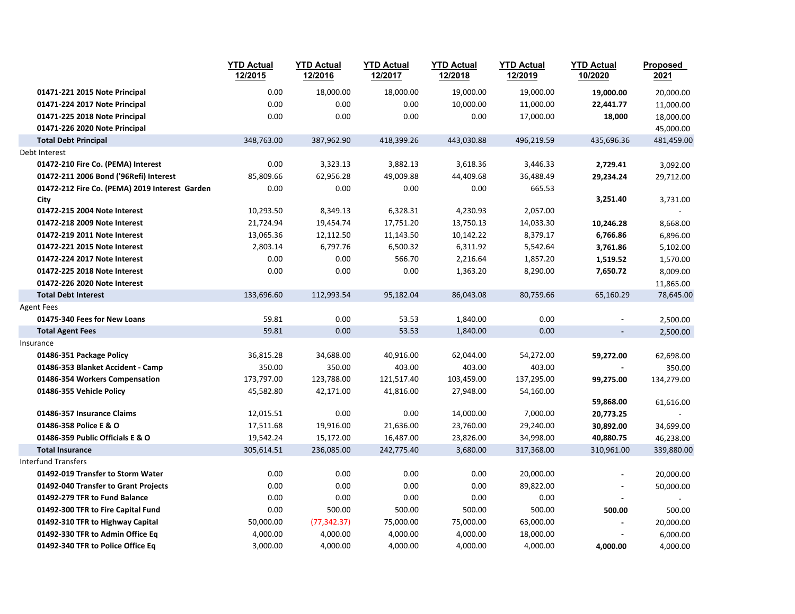|                                                | <b>YTD Actual</b><br>12/2015 | <b>YTD Actual</b><br>12/2016 | <b>YTD Actual</b><br>12/2017 | <b>YTD Actual</b><br>12/2018 | <b>YTD Actual</b><br>12/2019 | <b>YTD Actual</b><br>10/2020 | Proposed<br>2021 |
|------------------------------------------------|------------------------------|------------------------------|------------------------------|------------------------------|------------------------------|------------------------------|------------------|
| 01471-221 2015 Note Principal                  | 0.00                         | 18,000.00                    | 18,000.00                    | 19,000.00                    | 19,000.00                    | 19,000.00                    | 20,000.00        |
| 01471-224 2017 Note Principal                  | 0.00                         | 0.00                         | 0.00                         | 10,000.00                    | 11,000.00                    | 22,441.77                    | 11,000.00        |
| 01471-225 2018 Note Principal                  | 0.00                         | 0.00                         | 0.00                         | 0.00                         | 17,000.00                    | 18,000                       | 18,000.00        |
| 01471-226 2020 Note Principal                  |                              |                              |                              |                              |                              |                              | 45,000.00        |
| <b>Total Debt Principal</b>                    | 348,763.00                   | 387,962.90                   | 418,399.26                   | 443,030.88                   | 496,219.59                   | 435,696.36                   | 481,459.00       |
| Debt Interest                                  |                              |                              |                              |                              |                              |                              |                  |
| 01472-210 Fire Co. (PEMA) Interest             | 0.00                         | 3,323.13                     | 3,882.13                     | 3,618.36                     | 3,446.33                     | 2,729.41                     | 3,092.00         |
| 01472-211 2006 Bond ('96Refi) Interest         | 85,809.66                    | 62,956.28                    | 49,009.88                    | 44,409.68                    | 36,488.49                    | 29,234.24                    | 29,712.00        |
| 01472-212 Fire Co. (PEMA) 2019 Interest Garden | 0.00                         | 0.00                         | 0.00                         | 0.00                         | 665.53                       |                              |                  |
| City                                           |                              |                              |                              |                              |                              | 3,251.40                     | 3,731.00         |
| 01472-215 2004 Note Interest                   | 10,293.50                    | 8,349.13                     | 6,328.31                     | 4,230.93                     | 2,057.00                     |                              |                  |
| 01472-218 2009 Note Interest                   | 21,724.94                    | 19,454.74                    | 17,751.20                    | 13,750.13                    | 14,033.30                    | 10,246.28                    | 8,668.00         |
| 01472-219 2011 Note Interest                   | 13,065.36                    | 12,112.50                    | 11,143.50                    | 10,142.22                    | 8,379.17                     | 6,766.86                     | 6,896.00         |
| 01472-221 2015 Note Interest                   | 2,803.14                     | 6,797.76                     | 6,500.32                     | 6,311.92                     | 5,542.64                     | 3,761.86                     | 5,102.00         |
| 01472-224 2017 Note Interest                   | 0.00                         | 0.00                         | 566.70                       | 2,216.64                     | 1,857.20                     | 1,519.52                     | 1,570.00         |
| 01472-225 2018 Note Interest                   | 0.00                         | 0.00                         | 0.00                         | 1,363.20                     | 8,290.00                     | 7,650.72                     | 8,009.00         |
| 01472-226 2020 Note Interest                   |                              |                              |                              |                              |                              |                              | 11,865.00        |
| <b>Total Debt Interest</b>                     | 133,696.60                   | 112,993.54                   | 95,182.04                    | 86,043.08                    | 80,759.66                    | 65,160.29                    | 78,645.00        |
| <b>Agent Fees</b>                              |                              |                              |                              |                              |                              |                              |                  |
| 01475-340 Fees for New Loans                   | 59.81                        | 0.00                         | 53.53                        | 1,840.00                     | 0.00                         | $\blacksquare$               | 2,500.00         |
| <b>Total Agent Fees</b>                        | 59.81                        | 0.00                         | 53.53                        | 1,840.00                     | 0.00                         | $\overline{\phantom{a}}$     | 2,500.00         |
| Insurance                                      |                              |                              |                              |                              |                              |                              |                  |
| 01486-351 Package Policy                       | 36,815.28                    | 34,688.00                    | 40,916.00                    | 62,044.00                    | 54,272.00                    | 59,272.00                    | 62,698.00        |
| 01486-353 Blanket Accident - Camp              | 350.00                       | 350.00                       | 403.00                       | 403.00                       | 403.00                       |                              | 350.00           |
| 01486-354 Workers Compensation                 | 173,797.00                   | 123,788.00                   | 121,517.40                   | 103,459.00                   | 137,295.00                   | 99,275.00                    | 134,279.00       |
| 01486-355 Vehicle Policy                       | 45,582.80                    | 42,171.00                    | 41,816.00                    | 27,948.00                    | 54,160.00                    |                              |                  |
|                                                |                              |                              |                              |                              |                              | 59,868.00                    | 61,616.00        |
| 01486-357 Insurance Claims                     | 12,015.51                    | 0.00                         | 0.00                         | 14,000.00                    | 7,000.00                     | 20,773.25                    |                  |
| 01486-358 Police E & O                         | 17,511.68                    | 19,916.00                    | 21,636.00                    | 23,760.00                    | 29,240.00                    | 30,892.00                    | 34,699.00        |
| 01486-359 Public Officials E & O               | 19,542.24                    | 15,172.00                    | 16,487.00                    | 23,826.00                    | 34,998.00                    | 40,880.75                    | 46,238.00        |
| <b>Total Insurance</b>                         | 305,614.51                   | 236,085.00                   | 242,775.40                   | 3,680.00                     | 317,368.00                   | 310,961.00                   | 339,880.00       |
| <b>Interfund Transfers</b>                     |                              |                              |                              |                              |                              |                              |                  |
| 01492-019 Transfer to Storm Water              | 0.00                         | 0.00                         | 0.00                         | 0.00                         | 20,000.00                    |                              | 20,000.00        |
| 01492-040 Transfer to Grant Projects           | 0.00                         | 0.00                         | 0.00                         | 0.00                         | 89,822.00                    |                              | 50,000.00        |
| 01492-279 TFR to Fund Balance                  | 0.00                         | 0.00                         | 0.00                         | 0.00                         | 0.00                         |                              |                  |
| 01492-300 TFR to Fire Capital Fund             | 0.00                         | 500.00                       | 500.00                       | 500.00                       | 500.00                       | 500.00                       | 500.00           |
| 01492-310 TFR to Highway Capital               | 50,000.00                    | (77, 342.37)                 | 75,000.00                    | 75,000.00                    | 63,000.00                    | $\overline{a}$               | 20,000.00        |
| 01492-330 TFR to Admin Office Eq               | 4,000.00                     | 4,000.00                     | 4,000.00                     | 4,000.00                     | 18,000.00                    |                              | 6,000.00         |
| 01492-340 TFR to Police Office Eq              | 3,000.00                     | 4,000.00                     | 4,000.00                     | 4,000.00                     | 4,000.00                     | 4,000.00                     | 4,000.00         |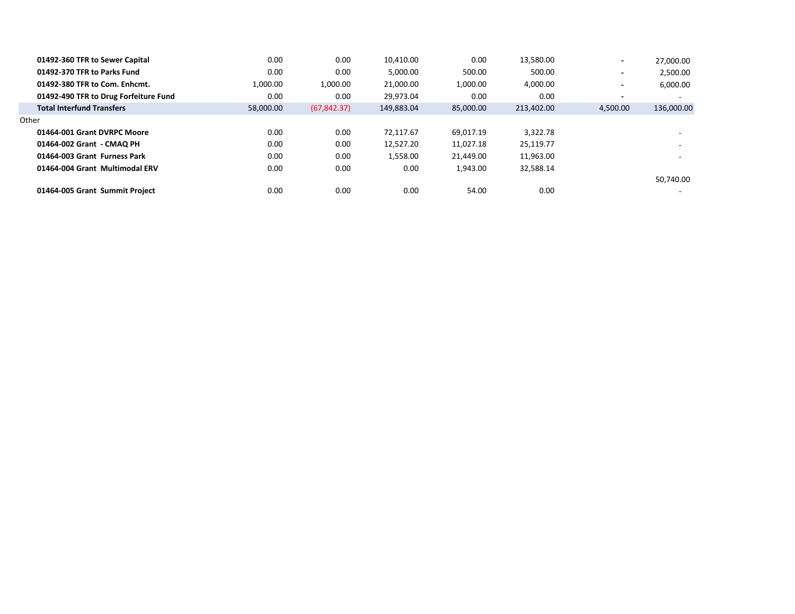| 01492-360 TFR to Sewer Capital        | 0.00      | 0.00         | 10.410.00  | 0.00      | 13,580.00  | $\overline{\phantom{a}}$ | 27,000.00                |
|---------------------------------------|-----------|--------------|------------|-----------|------------|--------------------------|--------------------------|
| 01492-370 TFR to Parks Fund           | 0.00      | 0.00         | 5.000.00   | 500.00    | 500.00     | $\overline{\phantom{a}}$ | 2,500.00                 |
| 01492-380 TFR to Com. Enhcmt.         | 1,000.00  | 1,000.00     | 21,000.00  | 1,000.00  | 4,000.00   | $\overline{\phantom{0}}$ | 6,000.00                 |
| 01492-490 TFR to Drug Forfeiture Fund | 0.00      | 0.00         | 29.973.04  | 0.00      | 0.00       | $\overline{\phantom{0}}$ | $\overline{\phantom{0}}$ |
| <b>Total Interfund Transfers</b>      | 58,000.00 | (67, 842.37) | 149.883.04 | 85,000.00 | 213.402.00 | 4,500.00                 | 136,000.00               |
| Other                                 |           |              |            |           |            |                          |                          |
| 01464-001 Grant DVRPC Moore           | 0.00      | 0.00         | 72.117.67  | 69.017.19 | 3,322.78   |                          | . .                      |
| 01464-002 Grant - CMAQ PH             | 0.00      | 0.00         | 12.527.20  | 11.027.18 | 25.119.77  |                          | $\overline{\phantom{0}}$ |
| 01464-003 Grant Furness Park          | 0.00      | 0.00         | 1.558.00   | 21.449.00 | 11.963.00  |                          | -                        |
| 01464-004 Grant Multimodal ERV        | 0.00      | 0.00         | 0.00       | 1,943.00  | 32,588.14  |                          |                          |
|                                       |           |              |            |           |            |                          | 50,740.00                |
| 01464-005 Grant Summit Project        | 0.00      | 0.00         | 0.00       | 54.00     | 0.00       |                          |                          |